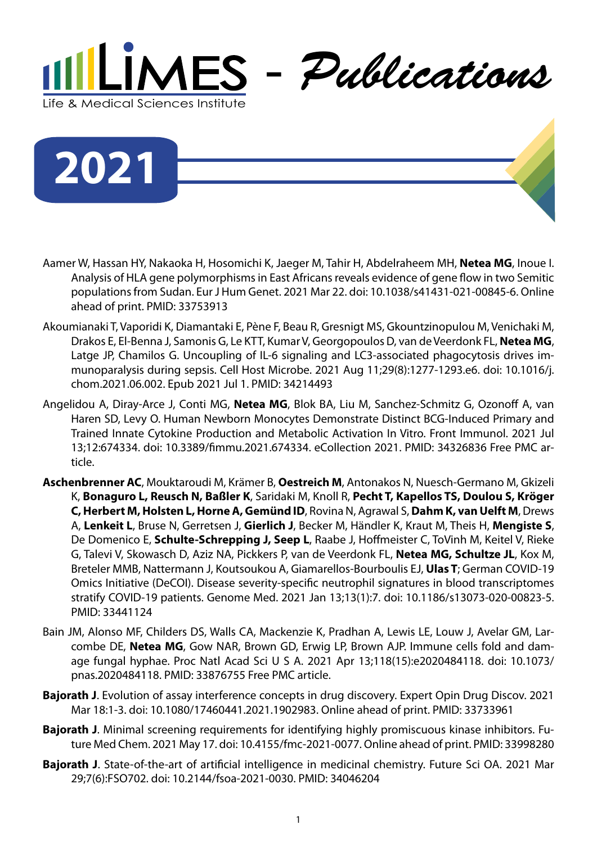

**2021**

- Aamer W, Hassan HY, Nakaoka H, Hosomichi K, Jaeger M, Tahir H, Abdelraheem MH, **Netea MG**, Inoue I. Analysis of HLA gene polymorphisms in East Africans reveals evidence of gene flow in two Semitic populations from Sudan. Eur J Hum Genet. 2021 Mar 22. doi: 10.1038/s41431-021-00845-6. Online ahead of print. PMID: 33753913
- Akoumianaki T, Vaporidi K, Diamantaki E, Pène F, Beau R, Gresnigt MS, Gkountzinopulou M, Venichaki M, Drakos E, El-Benna J, Samonis G, Le KTT, Kumar V, Georgopoulos D, van de Veerdonk FL, **Netea MG**, Latge JP, Chamilos G. Uncoupling of IL-6 signaling and LC3-associated phagocytosis drives immunoparalysis during sepsis. Cell Host Microbe. 2021 Aug 11;29(8):1277-1293.e6. doi: 10.1016/j. chom.2021.06.002. Epub 2021 Jul 1. PMID: 34214493
- Angelidou A, Diray-Arce J, Conti MG, **Netea MG**, Blok BA, Liu M, Sanchez-Schmitz G, Ozonoff A, van Haren SD, Levy O. Human Newborn Monocytes Demonstrate Distinct BCG-Induced Primary and Trained Innate Cytokine Production and Metabolic Activation In Vitro. Front Immunol. 2021 Jul 13;12:674334. doi: 10.3389/fimmu.2021.674334. eCollection 2021. PMID: 34326836 Free PMC article.
- **Aschenbrenner AC**, Mouktaroudi M, Krämer B, **Oestreich M**, Antonakos N, Nuesch-Germano M, Gkizeli K, **Bonaguro L, Reusch N, Baßler K**, Saridaki M, Knoll R, **Pecht T, Kapellos TS, Doulou S, Kröger C, Herbert M, Holsten L, Horne A, Gemünd ID**, Rovina N, Agrawal S, **Dahm K, van Uelft M**, Drews A, **Lenkeit L**, Bruse N, Gerretsen J, **Gierlich J**, Becker M, Händler K, Kraut M, Theis H, **Mengiste S**, De Domenico E, **Schulte-Schrepping J, Seep L**, Raabe J, Hoffmeister C, ToVinh M, Keitel V, Rieke G, Talevi V, Skowasch D, Aziz NA, Pickkers P, van de Veerdonk FL, **Netea MG, Schultze JL**, Kox M, Breteler MMB, Nattermann J, Koutsoukou A, Giamarellos-Bourboulis EJ, **Ulas T**; German COVID-19 Omics Initiative (DeCOI). Disease severity-specific neutrophil signatures in blood transcriptomes stratify COVID-19 patients. Genome Med. 2021 Jan 13;13(1):7. doi: 10.1186/s13073-020-00823-5. PMID: 33441124
- Bain JM, Alonso MF, Childers DS, Walls CA, Mackenzie K, Pradhan A, Lewis LE, Louw J, Avelar GM, Larcombe DE, **Netea MG**, Gow NAR, Brown GD, Erwig LP, Brown AJP. Immune cells fold and damage fungal hyphae. Proc Natl Acad Sci U S A. 2021 Apr 13;118(15):e2020484118. doi: 10.1073/ pnas.2020484118. PMID: 33876755 Free PMC article.
- **Bajorath J**. Evolution of assay interference concepts in drug discovery. Expert Opin Drug Discov. 2021 Mar 18:1-3. doi: 10.1080/17460441.2021.1902983. Online ahead of print. PMID: 33733961
- **Bajorath J**. Minimal screening requirements for identifying highly promiscuous kinase inhibitors. Future Med Chem. 2021 May 17. doi: 10.4155/fmc-2021-0077. Online ahead of print. PMID: 33998280
- **Bajorath J**. State-of-the-art of artificial intelligence in medicinal chemistry. Future Sci OA. 2021 Mar 29;7(6):FSO702. doi: 10.2144/fsoa-2021-0030. PMID: 34046204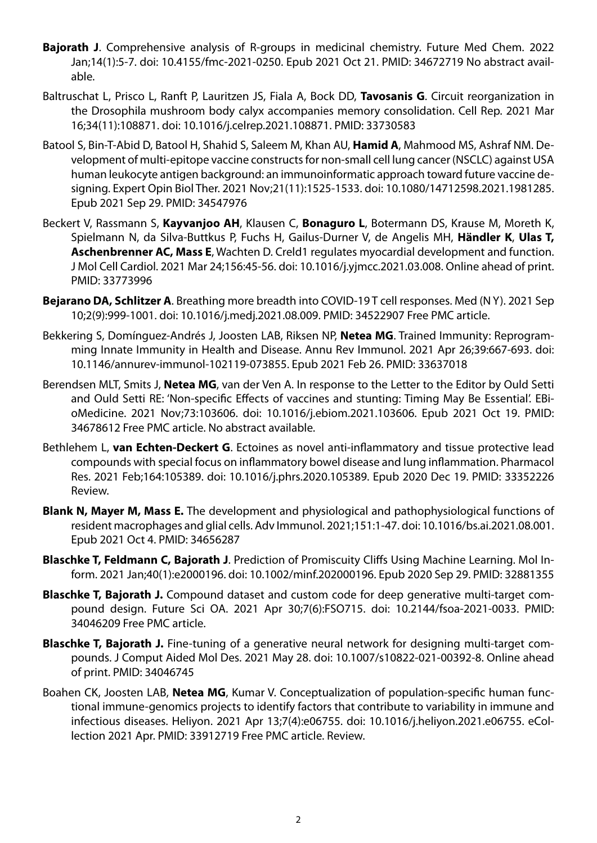- **Bajorath J**. Comprehensive analysis of R-groups in medicinal chemistry. Future Med Chem. 2022 Jan;14(1):5-7. doi: 10.4155/fmc-2021-0250. Epub 2021 Oct 21. PMID: 34672719 No abstract available.
- Baltruschat L, Prisco L, Ranft P, Lauritzen JS, Fiala A, Bock DD, **Tavosanis G**. Circuit reorganization in the Drosophila mushroom body calyx accompanies memory consolidation. Cell Rep. 2021 Mar 16;34(11):108871. doi: 10.1016/j.celrep.2021.108871. PMID: 33730583
- Batool S, Bin-T-Abid D, Batool H, Shahid S, Saleem M, Khan AU, **Hamid A**, Mahmood MS, Ashraf NM. Development of multi-epitope vaccine constructs for non-small cell lung cancer (NSCLC) against USA human leukocyte antigen background: an immunoinformatic approach toward future vaccine designing. Expert Opin Biol Ther. 2021 Nov;21(11):1525-1533. doi: 10.1080/14712598.2021.1981285. Epub 2021 Sep 29. PMID: 34547976
- Beckert V, Rassmann S, **Kayvanjoo AH**, Klausen C, **Bonaguro L**, Botermann DS, Krause M, Moreth K, Spielmann N, da Silva-Buttkus P, Fuchs H, Gailus-Durner V, de Angelis MH, **Händler K**, **Ulas T, Aschenbrenner AC, Mass E**, Wachten D. Creld1 regulates myocardial development and function. J Mol Cell Cardiol. 2021 Mar 24;156:45-56. doi: 10.1016/j.yjmcc.2021.03.008. Online ahead of print. PMID: 33773996
- **Bejarano DA, Schlitzer A**. Breathing more breadth into COVID-19 T cell responses. Med (N Y). 2021 Sep 10;2(9):999-1001. doi: 10.1016/j.medj.2021.08.009. PMID: 34522907 Free PMC article.
- Bekkering S, Domínguez-Andrés J, Joosten LAB, Riksen NP, **Netea MG**. Trained Immunity: Reprogramming Innate Immunity in Health and Disease. Annu Rev Immunol. 2021 Apr 26;39:667-693. doi: 10.1146/annurev-immunol-102119-073855. Epub 2021 Feb 26. PMID: 33637018
- Berendsen MLT, Smits J, **Netea MG**, van der Ven A. In response to the Letter to the Editor by Ould Setti and Ould Setti RE: 'Non-specific Effects of vaccines and stunting: Timing May Be Essential'. EBioMedicine. 2021 Nov;73:103606. doi: 10.1016/j.ebiom.2021.103606. Epub 2021 Oct 19. PMID: 34678612 Free PMC article. No abstract available.
- Bethlehem L, **van Echten-Deckert G**. Ectoines as novel anti-inflammatory and tissue protective lead compounds with special focus on inflammatory bowel disease and lung inflammation. Pharmacol Res. 2021 Feb;164:105389. doi: 10.1016/j.phrs.2020.105389. Epub 2020 Dec 19. PMID: 33352226 Review.
- **Blank N, Mayer M, Mass E.** The development and physiological and pathophysiological functions of resident macrophages and glial cells. Adv Immunol. 2021;151:1-47. doi: 10.1016/bs.ai.2021.08.001. Epub 2021 Oct 4. PMID: 34656287
- **Blaschke T, Feldmann C, Bajorath J**. Prediction of Promiscuity Cliffs Using Machine Learning. Mol Inform. 2021 Jan;40(1):e2000196. doi: 10.1002/minf.202000196. Epub 2020 Sep 29. PMID: 32881355
- **Blaschke T, Bajorath J.** Compound dataset and custom code for deep generative multi-target compound design. Future Sci OA. 2021 Apr 30;7(6):FSO715. doi: 10.2144/fsoa-2021-0033. PMID: 34046209 Free PMC article.
- **Blaschke T, Bajorath J.** Fine-tuning of a generative neural network for designing multi-target compounds. J Comput Aided Mol Des. 2021 May 28. doi: 10.1007/s10822-021-00392-8. Online ahead of print. PMID: 34046745
- Boahen CK, Joosten LAB, **Netea MG**, Kumar V. Conceptualization of population-specific human functional immune-genomics projects to identify factors that contribute to variability in immune and infectious diseases. Heliyon. 2021 Apr 13;7(4):e06755. doi: 10.1016/j.heliyon.2021.e06755. eCollection 2021 Apr. PMID: 33912719 Free PMC article. Review.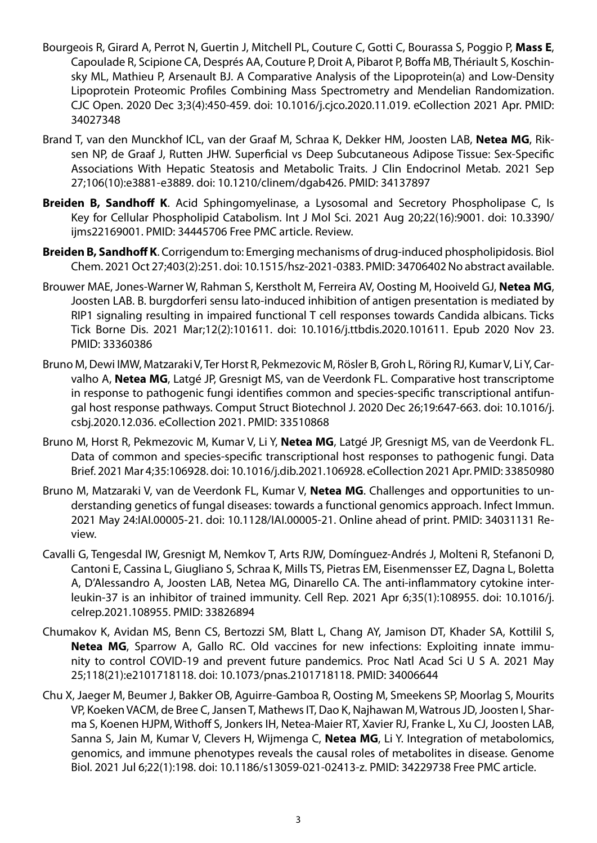- Bourgeois R, Girard A, Perrot N, Guertin J, Mitchell PL, Couture C, Gotti C, Bourassa S, Poggio P, **Mass E**, Capoulade R, Scipione CA, Després AA, Couture P, Droit A, Pibarot P, Boffa MB, Thériault S, Koschinsky ML, Mathieu P, Arsenault BJ. A Comparative Analysis of the Lipoprotein(a) and Low-Density Lipoprotein Proteomic Profiles Combining Mass Spectrometry and Mendelian Randomization. CJC Open. 2020 Dec 3;3(4):450-459. doi: 10.1016/j.cjco.2020.11.019. eCollection 2021 Apr. PMID: 34027348
- Brand T, van den Munckhof ICL, van der Graaf M, Schraa K, Dekker HM, Joosten LAB, **Netea MG**, Riksen NP, de Graaf J, Rutten JHW. Superficial vs Deep Subcutaneous Adipose Tissue: Sex-Specific Associations With Hepatic Steatosis and Metabolic Traits. J Clin Endocrinol Metab. 2021 Sep 27;106(10):e3881-e3889. doi: 10.1210/clinem/dgab426. PMID: 34137897
- **Breiden B, Sandhoff K**. Acid Sphingomyelinase, a Lysosomal and Secretory Phospholipase C, Is Key for Cellular Phospholipid Catabolism. Int J Mol Sci. 2021 Aug 20;22(16):9001. doi: 10.3390/ ijms22169001. PMID: 34445706 Free PMC article. Review.
- **Breiden B, Sandhoff K**. Corrigendum to: Emerging mechanisms of drug-induced phospholipidosis. Biol Chem. 2021 Oct 27;403(2):251. doi: 10.1515/hsz-2021-0383. PMID: 34706402 No abstract available.
- Brouwer MAE, Jones-Warner W, Rahman S, Kerstholt M, Ferreira AV, Oosting M, Hooiveld GJ, **Netea MG**, Joosten LAB. B. burgdorferi sensu lato-induced inhibition of antigen presentation is mediated by RIP1 signaling resulting in impaired functional T cell responses towards Candida albicans. Ticks Tick Borne Dis. 2021 Mar;12(2):101611. doi: 10.1016/j.ttbdis.2020.101611. Epub 2020 Nov 23. PMID: 33360386
- Bruno M, Dewi IMW, Matzaraki V, Ter Horst R, Pekmezovic M, Rösler B, Groh L, Röring RJ, Kumar V, Li Y, Carvalho A, **Netea MG**, Latgé JP, Gresnigt MS, van de Veerdonk FL. Comparative host transcriptome in response to pathogenic fungi identifies common and species-specific transcriptional antifungal host response pathways. Comput Struct Biotechnol J. 2020 Dec 26;19:647-663. doi: 10.1016/j. csbj.2020.12.036. eCollection 2021. PMID: 33510868
- Bruno M, Horst R, Pekmezovic M, Kumar V, Li Y, **Netea MG**, Latgé JP, Gresnigt MS, van de Veerdonk FL. Data of common and species-specific transcriptional host responses to pathogenic fungi. Data Brief. 2021 Mar 4;35:106928. doi: 10.1016/j.dib.2021.106928. eCollection 2021 Apr. PMID: 33850980
- Bruno M, Matzaraki V, van de Veerdonk FL, Kumar V, **Netea MG**. Challenges and opportunities to understanding genetics of fungal diseases: towards a functional genomics approach. Infect Immun. 2021 May 24:IAI.00005-21. doi: 10.1128/IAI.00005-21. Online ahead of print. PMID: 34031131 Review.
- Cavalli G, Tengesdal IW, Gresnigt M, Nemkov T, Arts RJW, Domínguez-Andrés J, Molteni R, Stefanoni D, Cantoni E, Cassina L, Giugliano S, Schraa K, Mills TS, Pietras EM, Eisenmensser EZ, Dagna L, Boletta A, D'Alessandro A, Joosten LAB, Netea MG, Dinarello CA. The anti-inflammatory cytokine interleukin-37 is an inhibitor of trained immunity. Cell Rep. 2021 Apr 6;35(1):108955. doi: 10.1016/j. celrep.2021.108955. PMID: 33826894
- Chumakov K, Avidan MS, Benn CS, Bertozzi SM, Blatt L, Chang AY, Jamison DT, Khader SA, Kottilil S, **Netea MG**, Sparrow A, Gallo RC. Old vaccines for new infections: Exploiting innate immunity to control COVID-19 and prevent future pandemics. Proc Natl Acad Sci U S A. 2021 May 25;118(21):e2101718118. doi: 10.1073/pnas.2101718118. PMID: 34006644
- Chu X, Jaeger M, Beumer J, Bakker OB, Aguirre-Gamboa R, Oosting M, Smeekens SP, Moorlag S, Mourits VP, Koeken VACM, de Bree C, Jansen T, Mathews IT, Dao K, Najhawan M, Watrous JD, Joosten I, Sharma S, Koenen HJPM, Withoff S, Jonkers IH, Netea-Maier RT, Xavier RJ, Franke L, Xu CJ, Joosten LAB, Sanna S, Jain M, Kumar V, Clevers H, Wijmenga C, **Netea MG**, Li Y. Integration of metabolomics, genomics, and immune phenotypes reveals the causal roles of metabolites in disease. Genome Biol. 2021 Jul 6;22(1):198. doi: 10.1186/s13059-021-02413-z. PMID: 34229738 Free PMC article.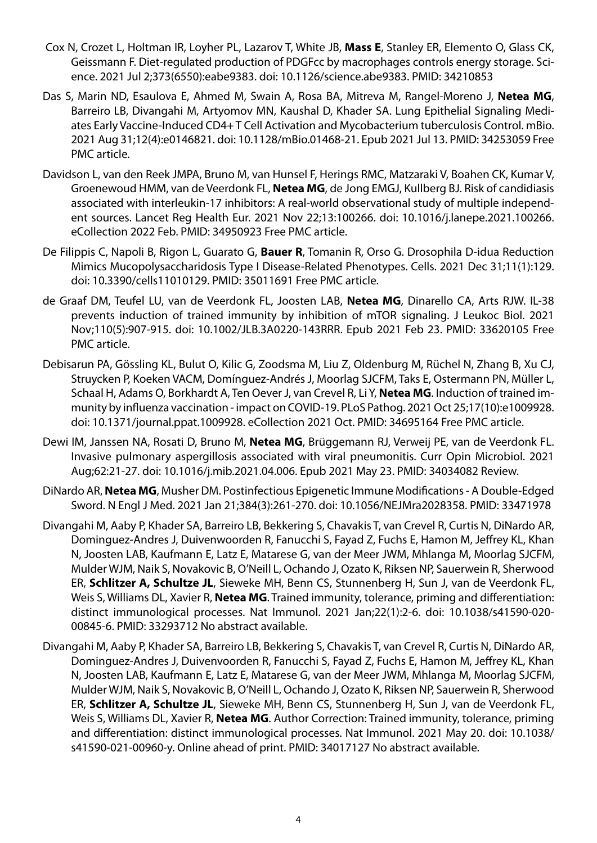- Cox N, Crozet L, Holtman IR, Loyher PL, Lazarov T, White JB, **Mass E**, Stanley ER, Elemento O, Glass CK, Geissmann F. Diet-regulated production of PDGFcc by macrophages controls energy storage. Science. 2021 Jul 2;373(6550):eabe9383. doi: 10.1126/science.abe9383. PMID: 34210853
- Das S, Marin ND, Esaulova E, Ahmed M, Swain A, Rosa BA, Mitreva M, Rangel-Moreno J, **Netea MG**, Barreiro LB, Divangahi M, Artyomov MN, Kaushal D, Khader SA. Lung Epithelial Signaling Mediates Early Vaccine-Induced CD4+ T Cell Activation and Mycobacterium tuberculosis Control. mBio. 2021 Aug 31;12(4):e0146821. doi: 10.1128/mBio.01468-21. Epub 2021 Jul 13. PMID: 34253059 Free PMC article.
- Davidson L, van den Reek JMPA, Bruno M, van Hunsel F, Herings RMC, Matzaraki V, Boahen CK, Kumar V, Groenewoud HMM, van de Veerdonk FL, **Netea MG**, de Jong EMGJ, Kullberg BJ. Risk of candidiasis associated with interleukin-17 inhibitors: A real-world observational study of multiple independent sources. Lancet Reg Health Eur. 2021 Nov 22;13:100266. doi: 10.1016/j.lanepe.2021.100266. eCollection 2022 Feb. PMID: 34950923 Free PMC article.
- De Filippis C, Napoli B, Rigon L, Guarato G, **Bauer R**, Tomanin R, Orso G. Drosophila D-idua Reduction Mimics Mucopolysaccharidosis Type I Disease-Related Phenotypes. Cells. 2021 Dec 31;11(1):129. doi: 10.3390/cells11010129. PMID: 35011691 Free PMC article.
- de Graaf DM, Teufel LU, van de Veerdonk FL, Joosten LAB, **Netea MG**, Dinarello CA, Arts RJW. IL-38 prevents induction of trained immunity by inhibition of mTOR signaling. J Leukoc Biol. 2021 Nov;110(5):907-915. doi: 10.1002/JLB.3A0220-143RRR. Epub 2021 Feb 23. PMID: 33620105 Free PMC article.
- Debisarun PA, Gössling KL, Bulut O, Kilic G, Zoodsma M, Liu Z, Oldenburg M, Rüchel N, Zhang B, Xu CJ, Struycken P, Koeken VACM, Domínguez-Andrés J, Moorlag SJCFM, Taks E, Ostermann PN, Müller L, Schaal H, Adams O, Borkhardt A, Ten Oever J, van Crevel R, Li Y, **Netea MG**. Induction of trained immunity by influenza vaccination - impact on COVID-19. PLoS Pathog. 2021 Oct 25;17(10):e1009928. doi: 10.1371/journal.ppat.1009928. eCollection 2021 Oct. PMID: 34695164 Free PMC article.
- Dewi IM, Janssen NA, Rosati D, Bruno M, **Netea MG**, Brüggemann RJ, Verweij PE, van de Veerdonk FL. Invasive pulmonary aspergillosis associated with viral pneumonitis. Curr Opin Microbiol. 2021 Aug;62:21-27. doi: 10.1016/j.mib.2021.04.006. Epub 2021 May 23. PMID: 34034082 Review.
- DiNardo AR, **Netea MG**, Musher DM. Postinfectious Epigenetic Immune Modifications A Double-Edged Sword. N Engl J Med. 2021 Jan 21;384(3):261-270. doi: 10.1056/NEJMra2028358. PMID: 33471978
- Divangahi M, Aaby P, Khader SA, Barreiro LB, Bekkering S, Chavakis T, van Crevel R, Curtis N, DiNardo AR, Dominguez-Andres J, Duivenwoorden R, Fanucchi S, Fayad Z, Fuchs E, Hamon M, Jeffrey KL, Khan N, Joosten LAB, Kaufmann E, Latz E, Matarese G, van der Meer JWM, Mhlanga M, Moorlag SJCFM, Mulder WJM, Naik S, Novakovic B, O'Neill L, Ochando J, Ozato K, Riksen NP, Sauerwein R, Sherwood ER, **Schlitzer A, Schultze JL**, Sieweke MH, Benn CS, Stunnenberg H, Sun J, van de Veerdonk FL, Weis S, Williams DL, Xavier R, **Netea MG**. Trained immunity, tolerance, priming and differentiation: distinct immunological processes. Nat Immunol. 2021 Jan;22(1):2-6. doi: 10.1038/s41590-020- 00845-6. PMID: 33293712 No abstract available.
- Divangahi M, Aaby P, Khader SA, Barreiro LB, Bekkering S, Chavakis T, van Crevel R, Curtis N, DiNardo AR, Dominguez-Andres J, Duivenvoorden R, Fanucchi S, Fayad Z, Fuchs E, Hamon M, Jeffrey KL, Khan N, Joosten LAB, Kaufmann E, Latz E, Matarese G, van der Meer JWM, Mhlanga M, Moorlag SJCFM, Mulder WJM, Naik S, Novakovic B, O'Neill L, Ochando J, Ozato K, Riksen NP, Sauerwein R, Sherwood ER, **Schlitzer A, Schultze JL**, Sieweke MH, Benn CS, Stunnenberg H, Sun J, van de Veerdonk FL, Weis S, Williams DL, Xavier R, **Netea MG**. Author Correction: Trained immunity, tolerance, priming and differentiation: distinct immunological processes. Nat Immunol. 2021 May 20. doi: 10.1038/ s41590-021-00960-y. Online ahead of print. PMID: 34017127 No abstract available.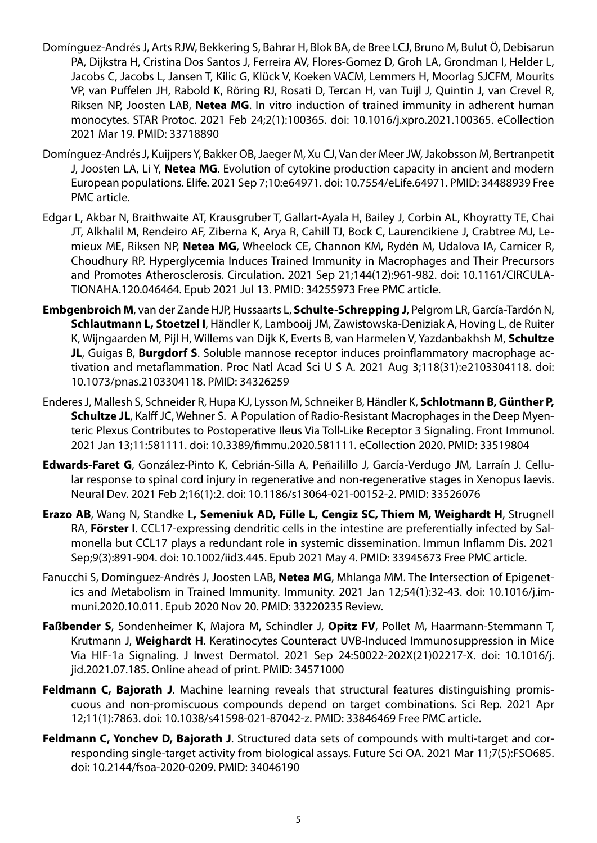- Domínguez-Andrés J, Arts RJW, Bekkering S, Bahrar H, Blok BA, de Bree LCJ, Bruno M, Bulut Ö, Debisarun PA, Dijkstra H, Cristina Dos Santos J, Ferreira AV, Flores-Gomez D, Groh LA, Grondman I, Helder L, Jacobs C, Jacobs L, Jansen T, Kilic G, Klück V, Koeken VACM, Lemmers H, Moorlag SJCFM, Mourits VP, van Puffelen JH, Rabold K, Röring RJ, Rosati D, Tercan H, van Tuijl J, Quintin J, van Crevel R, Riksen NP, Joosten LAB, **Netea MG**. In vitro induction of trained immunity in adherent human monocytes. STAR Protoc. 2021 Feb 24;2(1):100365. doi: 10.1016/j.xpro.2021.100365. eCollection 2021 Mar 19. PMID: 33718890
- Domínguez-Andrés J, Kuijpers Y, Bakker OB, Jaeger M, Xu CJ, Van der Meer JW, Jakobsson M, Bertranpetit J, Joosten LA, Li Y, **Netea MG**. Evolution of cytokine production capacity in ancient and modern European populations. Elife. 2021 Sep 7;10:e64971. doi: 10.7554/eLife.64971. PMID: 34488939 Free PMC article.
- Edgar L, Akbar N, Braithwaite AT, Krausgruber T, Gallart-Ayala H, Bailey J, Corbin AL, Khoyratty TE, Chai JT, Alkhalil M, Rendeiro AF, Ziberna K, Arya R, Cahill TJ, Bock C, Laurencikiene J, Crabtree MJ, Lemieux ME, Riksen NP, **Netea MG**, Wheelock CE, Channon KM, Rydén M, Udalova IA, Carnicer R, Choudhury RP. Hyperglycemia Induces Trained Immunity in Macrophages and Their Precursors and Promotes Atherosclerosis. Circulation. 2021 Sep 21;144(12):961-982. doi: 10.1161/CIRCULA-TIONAHA.120.046464. Epub 2021 Jul 13. PMID: 34255973 Free PMC article.
- **Embgenbroich M**, van der Zande HJP, Hussaarts L, **Schulte-Schrepping J**, Pelgrom LR, García-Tardón N, **Schlautmann L, Stoetzel I**, Händler K, Lambooij JM, Zawistowska-Deniziak A, Hoving L, de Ruiter K, Wijngaarden M, Pijl H, Willems van Dijk K, Everts B, van Harmelen V, Yazdanbakhsh M, **Schultze JL**, Guigas B, **Burgdorf S**. Soluble mannose receptor induces proinflammatory macrophage activation and metaflammation. Proc Natl Acad Sci U S A. 2021 Aug 3;118(31):e2103304118. doi: 10.1073/pnas.2103304118. PMID: 34326259
- Enderes J, Mallesh S, Schneider R, Hupa KJ, Lysson M, Schneiker B, Händler K, **Schlotmann B, Günther P, Schultze JL**, Kalff JC, Wehner S. A Population of Radio-Resistant Macrophages in the Deep Myenteric Plexus Contributes to Postoperative Ileus Via Toll-Like Receptor 3 Signaling. Front Immunol. 2021 Jan 13;11:581111. doi: 10.3389/fimmu.2020.581111. eCollection 2020. PMID: 33519804
- **Edwards-Faret G**, González-Pinto K, Cebrián-Silla A, Peñailillo J, García-Verdugo JM, Larraín J. Cellular response to spinal cord injury in regenerative and non-regenerative stages in Xenopus laevis. Neural Dev. 2021 Feb 2;16(1):2. doi: 10.1186/s13064-021-00152-2. PMID: 33526076
- **Erazo AB**, Wang N, Standke L**, Semeniuk AD, Fülle L, Cengiz SC, Thiem M, Weighardt H**, Strugnell RA, **Förster I**. CCL17-expressing dendritic cells in the intestine are preferentially infected by Salmonella but CCL17 plays a redundant role in systemic dissemination. Immun Inflamm Dis. 2021 Sep;9(3):891-904. doi: 10.1002/iid3.445. Epub 2021 May 4. PMID: 33945673 Free PMC article.
- Fanucchi S, Domínguez-Andrés J, Joosten LAB, **Netea MG**, Mhlanga MM. The Intersection of Epigenetics and Metabolism in Trained Immunity. Immunity. 2021 Jan 12;54(1):32-43. doi: 10.1016/j.immuni.2020.10.011. Epub 2020 Nov 20. PMID: 33220235 Review.
- **Faßbender S**, Sondenheimer K, Majora M, Schindler J, **Opitz FV**, Pollet M, Haarmann-Stemmann T, Krutmann J, **Weighardt H**. Keratinocytes Counteract UVB-Induced Immunosuppression in Mice Via HIF-1a Signaling. J Invest Dermatol. 2021 Sep 24:S0022-202X(21)02217-X. doi: 10.1016/j. jid.2021.07.185. Online ahead of print. PMID: 34571000
- **Feldmann C, Bajorath J**. Machine learning reveals that structural features distinguishing promiscuous and non-promiscuous compounds depend on target combinations. Sci Rep. 2021 Apr 12;11(1):7863. doi: 10.1038/s41598-021-87042-z. PMID: 33846469 Free PMC article.
- **Feldmann C, Yonchev D, Bajorath J**. Structured data sets of compounds with multi-target and corresponding single-target activity from biological assays. Future Sci OA. 2021 Mar 11;7(5):FSO685. doi: 10.2144/fsoa-2020-0209. PMID: 34046190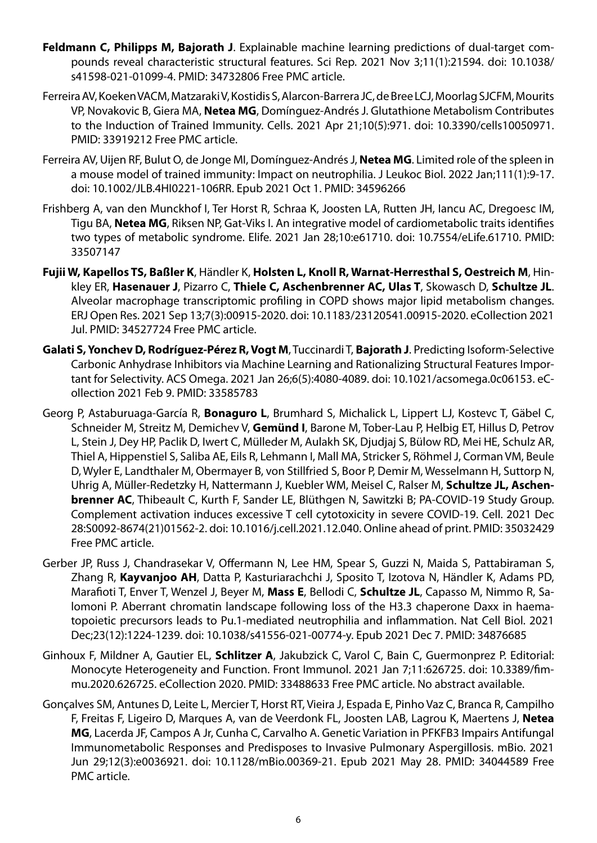- **Feldmann C, Philipps M, Bajorath J**. Explainable machine learning predictions of dual-target compounds reveal characteristic structural features. Sci Rep. 2021 Nov 3;11(1):21594. doi: 10.1038/ s41598-021-01099-4. PMID: 34732806 Free PMC article.
- Ferreira AV, Koeken VACM, Matzaraki V, Kostidis S, Alarcon-Barrera JC, de Bree LCJ, Moorlag SJCFM, Mourits VP, Novakovic B, Giera MA, **Netea MG**, Domínguez-Andrés J. Glutathione Metabolism Contributes to the Induction of Trained Immunity. Cells. 2021 Apr 21;10(5):971. doi: 10.3390/cells10050971. PMID: 33919212 Free PMC article.
- Ferreira AV, Uijen RF, Bulut O, de Jonge MI, Domínguez-Andrés J, **Netea MG**. Limited role of the spleen in a mouse model of trained immunity: Impact on neutrophilia. J Leukoc Biol. 2022 Jan;111(1):9-17. doi: 10.1002/JLB.4HI0221-106RR. Epub 2021 Oct 1. PMID: 34596266
- Frishberg A, van den Munckhof I, Ter Horst R, Schraa K, Joosten LA, Rutten JH, Iancu AC, Dregoesc IM, Tigu BA, **Netea MG**, Riksen NP, Gat-Viks I. An integrative model of cardiometabolic traits identifies two types of metabolic syndrome. Elife. 2021 Jan 28;10:e61710. doi: 10.7554/eLife.61710. PMID: 33507147
- **Fujii W, Kapellos TS, Baßler K**, Händler K, **Holsten L, Knoll R, Warnat-Herresthal S, Oestreich M**, Hinkley ER, **Hasenauer J**, Pizarro C, **Thiele C, Aschenbrenner AC, Ulas T**, Skowasch D, **Schultze JL**. Alveolar macrophage transcriptomic profiling in COPD shows major lipid metabolism changes. ERJ Open Res. 2021 Sep 13;7(3):00915-2020. doi: 10.1183/23120541.00915-2020. eCollection 2021 Jul. PMID: 34527724 Free PMC article.
- **Galati S, Yonchev D, Rodríguez-Pérez R, Vogt M**, Tuccinardi T, **Bajorath J**. Predicting Isoform-Selective Carbonic Anhydrase Inhibitors via Machine Learning and Rationalizing Structural Features Important for Selectivity. ACS Omega. 2021 Jan 26;6(5):4080-4089. doi: 10.1021/acsomega.0c06153. eCollection 2021 Feb 9. PMID: 33585783
- Georg P, Astaburuaga-García R, **Bonaguro L**, Brumhard S, Michalick L, Lippert LJ, Kostevc T, Gäbel C, Schneider M, Streitz M, Demichev V, **Gemünd I**, Barone M, Tober-Lau P, Helbig ET, Hillus D, Petrov L, Stein J, Dey HP, Paclik D, Iwert C, Mülleder M, Aulakh SK, Djudjaj S, Bülow RD, Mei HE, Schulz AR, Thiel A, Hippenstiel S, Saliba AE, Eils R, Lehmann I, Mall MA, Stricker S, Röhmel J, Corman VM, Beule D, Wyler E, Landthaler M, Obermayer B, von Stillfried S, Boor P, Demir M, Wesselmann H, Suttorp N, Uhrig A, Müller-Redetzky H, Nattermann J, Kuebler WM, Meisel C, Ralser M, **Schultze JL, Aschenbrenner AC**, Thibeault C, Kurth F, Sander LE, Blüthgen N, Sawitzki B; PA-COVID-19 Study Group. Complement activation induces excessive T cell cytotoxicity in severe COVID-19. Cell. 2021 Dec 28:S0092-8674(21)01562-2. doi: 10.1016/j.cell.2021.12.040. Online ahead of print. PMID: 35032429 Free PMC article.
- Gerber JP, Russ J, Chandrasekar V, Offermann N, Lee HM, Spear S, Guzzi N, Maida S, Pattabiraman S, Zhang R, **Kayvanjoo AH**, Datta P, Kasturiarachchi J, Sposito T, Izotova N, Händler K, Adams PD, Marafioti T, Enver T, Wenzel J, Beyer M, **Mass E**, Bellodi C, **Schultze JL**, Capasso M, Nimmo R, Salomoni P. Aberrant chromatin landscape following loss of the H3.3 chaperone Daxx in haematopoietic precursors leads to Pu.1-mediated neutrophilia and inflammation. Nat Cell Biol. 2021 Dec;23(12):1224-1239. doi: 10.1038/s41556-021-00774-y. Epub 2021 Dec 7. PMID: 34876685
- Ginhoux F, Mildner A, Gautier EL, **Schlitzer A**, Jakubzick C, Varol C, Bain C, Guermonprez P. Editorial: Monocyte Heterogeneity and Function. Front Immunol. 2021 Jan 7;11:626725. doi: 10.3389/fimmu.2020.626725. eCollection 2020. PMID: 33488633 Free PMC article. No abstract available.
- Gonçalves SM, Antunes D, Leite L, Mercier T, Horst RT, Vieira J, Espada E, Pinho Vaz C, Branca R, Campilho F, Freitas F, Ligeiro D, Marques A, van de Veerdonk FL, Joosten LAB, Lagrou K, Maertens J, **Netea MG**, Lacerda JF, Campos A Jr, Cunha C, Carvalho A. Genetic Variation in PFKFB3 Impairs Antifungal Immunometabolic Responses and Predisposes to Invasive Pulmonary Aspergillosis. mBio. 2021 Jun 29;12(3):e0036921. doi: 10.1128/mBio.00369-21. Epub 2021 May 28. PMID: 34044589 Free PMC article.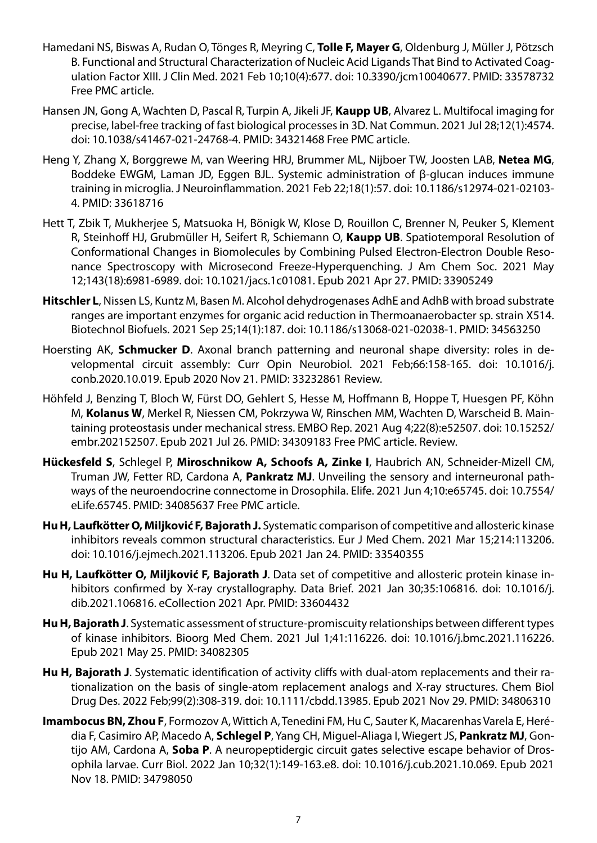- Hamedani NS, Biswas A, Rudan O, Tönges R, Meyring C, **Tolle F, Mayer G**, Oldenburg J, Müller J, Pötzsch B. Functional and Structural Characterization of Nucleic Acid Ligands That Bind to Activated Coagulation Factor XIII. J Clin Med. 2021 Feb 10;10(4):677. doi: 10.3390/jcm10040677. PMID: 33578732 Free PMC article.
- Hansen JN, Gong A, Wachten D, Pascal R, Turpin A, Jikeli JF, **Kaupp UB**, Alvarez L. Multifocal imaging for precise, label-free tracking of fast biological processes in 3D. Nat Commun. 2021 Jul 28;12(1):4574. doi: 10.1038/s41467-021-24768-4. PMID: 34321468 Free PMC article.
- Heng Y, Zhang X, Borggrewe M, van Weering HRJ, Brummer ML, Nijboer TW, Joosten LAB, **Netea MG**, Boddeke EWGM, Laman JD, Eggen BJL. Systemic administration of β-glucan induces immune training in microglia. J Neuroinflammation. 2021 Feb 22;18(1):57. doi: 10.1186/s12974-021-02103- 4. PMID: 33618716
- Hett T, Zbik T, Mukherjee S, Matsuoka H, Bönigk W, Klose D, Rouillon C, Brenner N, Peuker S, Klement R, Steinhoff HJ, Grubmüller H, Seifert R, Schiemann O, **Kaupp UB**. Spatiotemporal Resolution of Conformational Changes in Biomolecules by Combining Pulsed Electron-Electron Double Resonance Spectroscopy with Microsecond Freeze-Hyperquenching. J Am Chem Soc. 2021 May 12;143(18):6981-6989. doi: 10.1021/jacs.1c01081. Epub 2021 Apr 27. PMID: 33905249
- **Hitschler L**, Nissen LS, Kuntz M, Basen M. Alcohol dehydrogenases AdhE and AdhB with broad substrate ranges are important enzymes for organic acid reduction in Thermoanaerobacter sp. strain X514. Biotechnol Biofuels. 2021 Sep 25;14(1):187. doi: 10.1186/s13068-021-02038-1. PMID: 34563250
- Hoersting AK, **Schmucker D**. Axonal branch patterning and neuronal shape diversity: roles in developmental circuit assembly: Curr Opin Neurobiol. 2021 Feb;66:158-165. doi: 10.1016/j. conb.2020.10.019. Epub 2020 Nov 21. PMID: 33232861 Review.
- Höhfeld J, Benzing T, Bloch W, Fürst DO, Gehlert S, Hesse M, Hoffmann B, Hoppe T, Huesgen PF, Köhn M, **Kolanus W**, Merkel R, Niessen CM, Pokrzywa W, Rinschen MM, Wachten D, Warscheid B. Maintaining proteostasis under mechanical stress. EMBO Rep. 2021 Aug 4;22(8):e52507. doi: 10.15252/ embr.202152507. Epub 2021 Jul 26. PMID: 34309183 Free PMC article. Review.
- **Hückesfeld S**, Schlegel P, **Miroschnikow A, Schoofs A, Zinke I**, Haubrich AN, Schneider-Mizell CM, Truman JW, Fetter RD, Cardona A, **Pankratz MJ**. Unveiling the sensory and interneuronal pathways of the neuroendocrine connectome in Drosophila. Elife. 2021 Jun 4;10:e65745. doi: 10.7554/ eLife.65745. PMID: 34085637 Free PMC article.
- **Hu H, Laufkötter O, Miljković F, Bajorath J.** Systematic comparison of competitive and allosteric kinase inhibitors reveals common structural characteristics. Eur J Med Chem. 2021 Mar 15;214:113206. doi: 10.1016/j.ejmech.2021.113206. Epub 2021 Jan 24. PMID: 33540355
- **Hu H, Laufkötter O, Miljković F, Bajorath J**. Data set of competitive and allosteric protein kinase inhibitors confirmed by X-ray crystallography. Data Brief. 2021 Jan 30;35:106816. doi: 10.1016/j. dib.2021.106816. eCollection 2021 Apr. PMID: 33604432
- **Hu H, Bajorath J**. Systematic assessment of structure-promiscuity relationships between different types of kinase inhibitors. Bioorg Med Chem. 2021 Jul 1;41:116226. doi: 10.1016/j.bmc.2021.116226. Epub 2021 May 25. PMID: 34082305
- **Hu H, Bajorath J**. Systematic identification of activity cliffs with dual-atom replacements and their rationalization on the basis of single-atom replacement analogs and X-ray structures. Chem Biol Drug Des. 2022 Feb;99(2):308-319. doi: 10.1111/cbdd.13985. Epub 2021 Nov 29. PMID: 34806310
- **Imambocus BN, Zhou F**, Formozov A, Wittich A, Tenedini FM, Hu C, Sauter K, Macarenhas Varela E, Herédia F, Casimiro AP, Macedo A, **Schlegel P**, Yang CH, Miguel-Aliaga I, Wiegert JS, **Pankratz MJ**, Gontijo AM, Cardona A, **Soba P**. A neuropeptidergic circuit gates selective escape behavior of Drosophila larvae. Curr Biol. 2022 Jan 10;32(1):149-163.e8. doi: 10.1016/j.cub.2021.10.069. Epub 2021 Nov 18. PMID: 34798050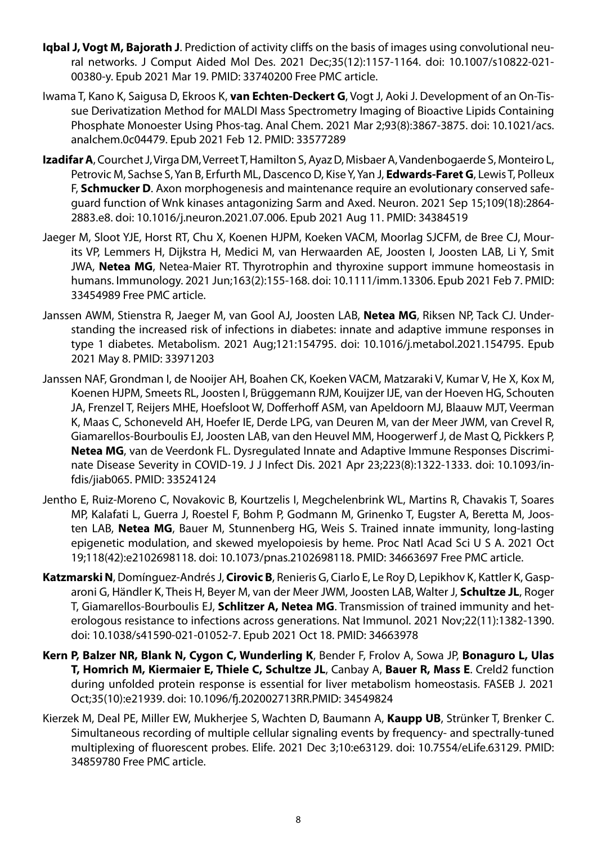- **Iqbal J, Vogt M, Bajorath J**. Prediction of activity cliffs on the basis of images using convolutional neural networks. J Comput Aided Mol Des. 2021 Dec;35(12):1157-1164. doi: 10.1007/s10822-021- 00380-y. Epub 2021 Mar 19. PMID: 33740200 Free PMC article.
- Iwama T, Kano K, Saigusa D, Ekroos K, **van Echten-Deckert G**, Vogt J, Aoki J. Development of an On-Tissue Derivatization Method for MALDI Mass Spectrometry Imaging of Bioactive Lipids Containing Phosphate Monoester Using Phos-tag. Anal Chem. 2021 Mar 2;93(8):3867-3875. doi: 10.1021/acs. analchem.0c04479. Epub 2021 Feb 12. PMID: 33577289
- **Izadifar A**, Courchet J, Virga DM, Verreet T, Hamilton S, Ayaz D, Misbaer A, Vandenbogaerde S, Monteiro L, Petrovic M, Sachse S, Yan B, Erfurth ML, Dascenco D, Kise Y, Yan J, **Edwards-Faret G**, Lewis T, Polleux F, **Schmucker D**. Axon morphogenesis and maintenance require an evolutionary conserved safeguard function of Wnk kinases antagonizing Sarm and Axed. Neuron. 2021 Sep 15;109(18):2864- 2883.e8. doi: 10.1016/j.neuron.2021.07.006. Epub 2021 Aug 11. PMID: 34384519
- Jaeger M, Sloot YJE, Horst RT, Chu X, Koenen HJPM, Koeken VACM, Moorlag SJCFM, de Bree CJ, Mourits VP, Lemmers H, Dijkstra H, Medici M, van Herwaarden AE, Joosten I, Joosten LAB, Li Y, Smit JWA, **Netea MG**, Netea-Maier RT. Thyrotrophin and thyroxine support immune homeostasis in humans. Immunology. 2021 Jun;163(2):155-168. doi: 10.1111/imm.13306. Epub 2021 Feb 7. PMID: 33454989 Free PMC article.
- Janssen AWM, Stienstra R, Jaeger M, van Gool AJ, Joosten LAB, **Netea MG**, Riksen NP, Tack CJ. Understanding the increased risk of infections in diabetes: innate and adaptive immune responses in type 1 diabetes. Metabolism. 2021 Aug;121:154795. doi: 10.1016/j.metabol.2021.154795. Epub 2021 May 8. PMID: 33971203
- Janssen NAF, Grondman I, de Nooijer AH, Boahen CK, Koeken VACM, Matzaraki V, Kumar V, He X, Kox M, Koenen HJPM, Smeets RL, Joosten I, Brüggemann RJM, Kouijzer IJE, van der Hoeven HG, Schouten JA, Frenzel T, Reijers MHE, Hoefsloot W, Dofferhoff ASM, van Apeldoorn MJ, Blaauw MJT, Veerman K, Maas C, Schoneveld AH, Hoefer IE, Derde LPG, van Deuren M, van der Meer JWM, van Crevel R, Giamarellos-Bourboulis EJ, Joosten LAB, van den Heuvel MM, Hoogerwerf J, de Mast Q, Pickkers P, **Netea MG**, van de Veerdonk FL. Dysregulated Innate and Adaptive Immune Responses Discriminate Disease Severity in COVID-19. J J Infect Dis. 2021 Apr 23;223(8):1322-1333. doi: 10.1093/infdis/jiab065. PMID: 33524124
- Jentho E, Ruiz-Moreno C, Novakovic B, Kourtzelis I, Megchelenbrink WL, Martins R, Chavakis T, Soares MP, Kalafati L, Guerra J, Roestel F, Bohm P, Godmann M, Grinenko T, Eugster A, Beretta M, Joosten LAB, **Netea MG**, Bauer M, Stunnenberg HG, Weis S. Trained innate immunity, long-lasting epigenetic modulation, and skewed myelopoiesis by heme. Proc Natl Acad Sci U S A. 2021 Oct 19;118(42):e2102698118. doi: 10.1073/pnas.2102698118. PMID: 34663697 Free PMC article.
- **Katzmarski N**, Domínguez-Andrés J, **Cirovic B**, Renieris G, Ciarlo E, Le Roy D, Lepikhov K, Kattler K, Gasparoni G, Händler K, Theis H, Beyer M, van der Meer JWM, Joosten LAB, Walter J, **Schultze JL**, Roger T, Giamarellos-Bourboulis EJ, **Schlitzer A, Netea MG**. Transmission of trained immunity and heterologous resistance to infections across generations. Nat Immunol. 2021 Nov;22(11):1382-1390. doi: 10.1038/s41590-021-01052-7. Epub 2021 Oct 18. PMID: 34663978
- **Kern P, Balzer NR, Blank N, Cygon C, Wunderling K**, Bender F, Frolov A, Sowa JP, **Bonaguro L, Ulas T, Homrich M, Kiermaier E, Thiele C, Schultze JL**, Canbay A, **Bauer R, Mass E**. Creld2 function during unfolded protein response is essential for liver metabolism homeostasis. FASEB J. 2021 Oct;35(10):e21939. doi: 10.1096/fj.202002713RR.PMID: 34549824
- Kierzek M, Deal PE, Miller EW, Mukherjee S, Wachten D, Baumann A, **Kaupp UB**, Strünker T, Brenker C. Simultaneous recording of multiple cellular signaling events by frequency- and spectrally-tuned multiplexing of fluorescent probes. Elife. 2021 Dec 3;10:e63129. doi: 10.7554/eLife.63129. PMID: 34859780 Free PMC article.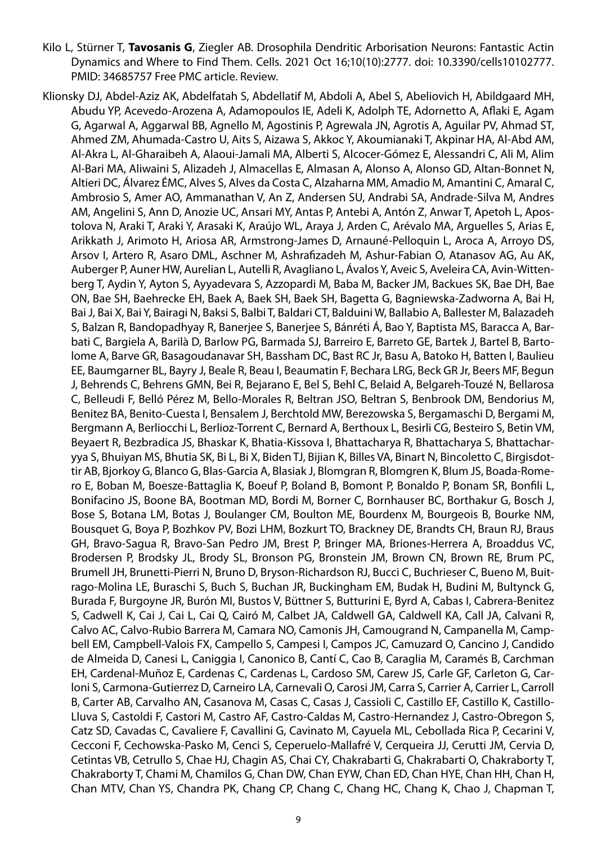- Kilo L, Stürner T, **Tavosanis G**, Ziegler AB. Drosophila Dendritic Arborisation Neurons: Fantastic Actin Dynamics and Where to Find Them. Cells. 2021 Oct 16;10(10):2777. doi: 10.3390/cells10102777. PMID: 34685757 Free PMC article. Review.
- Klionsky DJ, Abdel-Aziz AK, Abdelfatah S, Abdellatif M, Abdoli A, Abel S, Abeliovich H, Abildgaard MH, Abudu YP, Acevedo-Arozena A, Adamopoulos IE, Adeli K, Adolph TE, Adornetto A, Aflaki E, Agam G, Agarwal A, Aggarwal BB, Agnello M, Agostinis P, Agrewala JN, Agrotis A, Aguilar PV, Ahmad ST, Ahmed ZM, Ahumada-Castro U, Aits S, Aizawa S, Akkoc Y, Akoumianaki T, Akpinar HA, Al-Abd AM, Al-Akra L, Al-Gharaibeh A, Alaoui-Jamali MA, Alberti S, Alcocer-Gómez E, Alessandri C, Ali M, Alim Al-Bari MA, Aliwaini S, Alizadeh J, Almacellas E, Almasan A, Alonso A, Alonso GD, Altan-Bonnet N, Altieri DC, Álvarez ÉMC, Alves S, Alves da Costa C, Alzaharna MM, Amadio M, Amantini C, Amaral C, Ambrosio S, Amer AO, Ammanathan V, An Z, Andersen SU, Andrabi SA, Andrade-Silva M, Andres AM, Angelini S, Ann D, Anozie UC, Ansari MY, Antas P, Antebi A, Antón Z, Anwar T, Apetoh L, Apostolova N, Araki T, Araki Y, Arasaki K, Araújo WL, Araya J, Arden C, Arévalo MA, Arguelles S, Arias E, Arikkath J, Arimoto H, Ariosa AR, Armstrong-James D, Arnauné-Pelloquin L, Aroca A, Arroyo DS, Arsov I, Artero R, Asaro DML, Aschner M, Ashrafizadeh M, Ashur-Fabian O, Atanasov AG, Au AK, Auberger P, Auner HW, Aurelian L, Autelli R, Avagliano L, Ávalos Y, Aveic S, Aveleira CA, Avin-Wittenberg T, Aydin Y, Ayton S, Ayyadevara S, Azzopardi M, Baba M, Backer JM, Backues SK, Bae DH, Bae ON, Bae SH, Baehrecke EH, Baek A, Baek SH, Baek SH, Bagetta G, Bagniewska-Zadworna A, Bai H, Bai J, Bai X, Bai Y, Bairagi N, Baksi S, Balbi T, Baldari CT, Balduini W, Ballabio A, Ballester M, Balazadeh S, Balzan R, Bandopadhyay R, Banerjee S, Banerjee S, Bánréti Á, Bao Y, Baptista MS, Baracca A, Barbati C, Bargiela A, Barilà D, Barlow PG, Barmada SJ, Barreiro E, Barreto GE, Bartek J, Bartel B, Bartolome A, Barve GR, Basagoudanavar SH, Bassham DC, Bast RC Jr, Basu A, Batoko H, Batten I, Baulieu EE, Baumgarner BL, Bayry J, Beale R, Beau I, Beaumatin F, Bechara LRG, Beck GR Jr, Beers MF, Begun J, Behrends C, Behrens GMN, Bei R, Bejarano E, Bel S, Behl C, Belaid A, Belgareh-Touzé N, Bellarosa C, Belleudi F, Belló Pérez M, Bello-Morales R, Beltran JSO, Beltran S, Benbrook DM, Bendorius M, Benitez BA, Benito-Cuesta I, Bensalem J, Berchtold MW, Berezowska S, Bergamaschi D, Bergami M, Bergmann A, Berliocchi L, Berlioz-Torrent C, Bernard A, Berthoux L, Besirli CG, Besteiro S, Betin VM, Beyaert R, Bezbradica JS, Bhaskar K, Bhatia-Kissova I, Bhattacharya R, Bhattacharya S, Bhattacharyya S, Bhuiyan MS, Bhutia SK, Bi L, Bi X, Biden TJ, Bijian K, Billes VA, Binart N, Bincoletto C, Birgisdottir AB, Bjorkoy G, Blanco G, Blas-Garcia A, Blasiak J, Blomgran R, Blomgren K, Blum JS, Boada-Romero E, Boban M, Boesze-Battaglia K, Boeuf P, Boland B, Bomont P, Bonaldo P, Bonam SR, Bonfili L, Bonifacino JS, Boone BA, Bootman MD, Bordi M, Borner C, Bornhauser BC, Borthakur G, Bosch J, Bose S, Botana LM, Botas J, Boulanger CM, Boulton ME, Bourdenx M, Bourgeois B, Bourke NM, Bousquet G, Boya P, Bozhkov PV, Bozi LHM, Bozkurt TO, Brackney DE, Brandts CH, Braun RJ, Braus GH, Bravo-Sagua R, Bravo-San Pedro JM, Brest P, Bringer MA, Briones-Herrera A, Broaddus VC, Brodersen P, Brodsky JL, Brody SL, Bronson PG, Bronstein JM, Brown CN, Brown RE, Brum PC, Brumell JH, Brunetti-Pierri N, Bruno D, Bryson-Richardson RJ, Bucci C, Buchrieser C, Bueno M, Buitrago-Molina LE, Buraschi S, Buch S, Buchan JR, Buckingham EM, Budak H, Budini M, Bultynck G, Burada F, Burgoyne JR, Burón MI, Bustos V, Büttner S, Butturini E, Byrd A, Cabas I, Cabrera-Benitez S, Cadwell K, Cai J, Cai L, Cai Q, Cairó M, Calbet JA, Caldwell GA, Caldwell KA, Call JA, Calvani R, Calvo AC, Calvo-Rubio Barrera M, Camara NO, Camonis JH, Camougrand N, Campanella M, Campbell EM, Campbell-Valois FX, Campello S, Campesi I, Campos JC, Camuzard O, Cancino J, Candido de Almeida D, Canesi L, Caniggia I, Canonico B, Cantí C, Cao B, Caraglia M, Caramés B, Carchman EH, Cardenal-Muñoz E, Cardenas C, Cardenas L, Cardoso SM, Carew JS, Carle GF, Carleton G, Carloni S, Carmona-Gutierrez D, Carneiro LA, Carnevali O, Carosi JM, Carra S, Carrier A, Carrier L, Carroll B, Carter AB, Carvalho AN, Casanova M, Casas C, Casas J, Cassioli C, Castillo EF, Castillo K, Castillo-Lluva S, Castoldi F, Castori M, Castro AF, Castro-Caldas M, Castro-Hernandez J, Castro-Obregon S, Catz SD, Cavadas C, Cavaliere F, Cavallini G, Cavinato M, Cayuela ML, Cebollada Rica P, Cecarini V, Cecconi F, Cechowska-Pasko M, Cenci S, Ceperuelo-Mallafré V, Cerqueira JJ, Cerutti JM, Cervia D, Cetintas VB, Cetrullo S, Chae HJ, Chagin AS, Chai CY, Chakrabarti G, Chakrabarti O, Chakraborty T, Chakraborty T, Chami M, Chamilos G, Chan DW, Chan EYW, Chan ED, Chan HYE, Chan HH, Chan H, Chan MTV, Chan YS, Chandra PK, Chang CP, Chang C, Chang HC, Chang K, Chao J, Chapman T,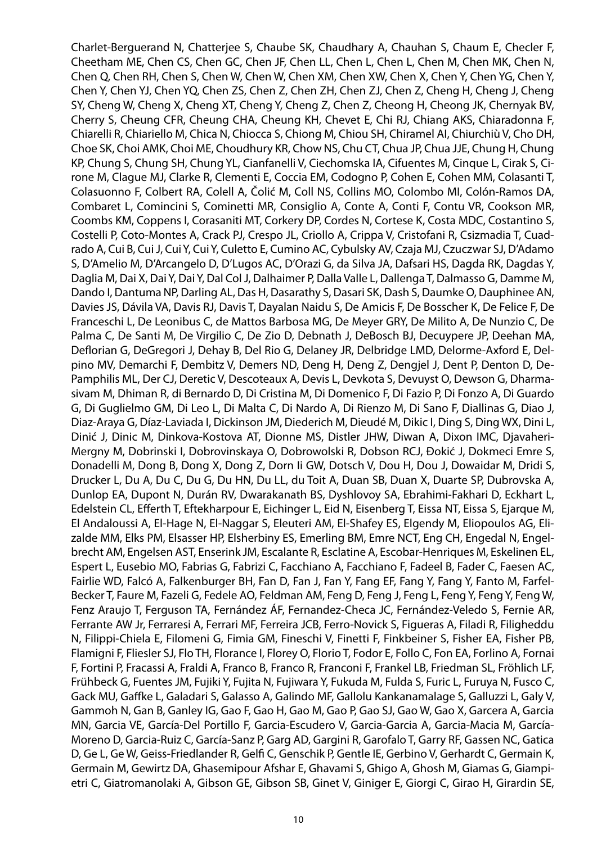Charlet-Berguerand N, Chatterjee S, Chaube SK, Chaudhary A, Chauhan S, Chaum E, Checler F, Cheetham ME, Chen CS, Chen GC, Chen JF, Chen LL, Chen L, Chen L, Chen M, Chen MK, Chen N, Chen Q, Chen RH, Chen S, Chen W, Chen W, Chen XM, Chen XW, Chen X, Chen Y, Chen YG, Chen Y, Chen Y, Chen YJ, Chen YQ, Chen ZS, Chen Z, Chen ZH, Chen ZJ, Chen Z, Cheng H, Cheng J, Cheng SY, Cheng W, Cheng X, Cheng XT, Cheng Y, Cheng Z, Chen Z, Cheong H, Cheong JK, Chernyak BV, Cherry S, Cheung CFR, Cheung CHA, Cheung KH, Chevet E, Chi RJ, Chiang AKS, Chiaradonna F, Chiarelli R, Chiariello M, Chica N, Chiocca S, Chiong M, Chiou SH, Chiramel AI, Chiurchiù V, Cho DH, Choe SK, Choi AMK, Choi ME, Choudhury KR, Chow NS, Chu CT, Chua JP, Chua JJE, Chung H, Chung KP, Chung S, Chung SH, Chung YL, Cianfanelli V, Ciechomska IA, Cifuentes M, Cinque L, Cirak S, Cirone M, Clague MJ, Clarke R, Clementi E, Coccia EM, Codogno P, Cohen E, Cohen MM, Colasanti T, Colasuonno F, Colbert RA, Colell A, Čolić M, Coll NS, Collins MO, Colombo MI, Colón-Ramos DA, Combaret L, Comincini S, Cominetti MR, Consiglio A, Conte A, Conti F, Contu VR, Cookson MR, Coombs KM, Coppens I, Corasaniti MT, Corkery DP, Cordes N, Cortese K, Costa MDC, Costantino S, Costelli P, Coto-Montes A, Crack PJ, Crespo JL, Criollo A, Crippa V, Cristofani R, Csizmadia T, Cuadrado A, Cui B, Cui J, Cui Y, Cui Y, Culetto E, Cumino AC, Cybulsky AV, Czaja MJ, Czuczwar SJ, D'Adamo S, D'Amelio M, D'Arcangelo D, D'Lugos AC, D'Orazi G, da Silva JA, Dafsari HS, Dagda RK, Dagdas Y, Daglia M, Dai X, Dai Y, Dai Y, Dal Col J, Dalhaimer P, Dalla Valle L, Dallenga T, Dalmasso G, Damme M, Dando I, Dantuma NP, Darling AL, Das H, Dasarathy S, Dasari SK, Dash S, Daumke O, Dauphinee AN, Davies JS, Dávila VA, Davis RJ, Davis T, Dayalan Naidu S, De Amicis F, De Bosscher K, De Felice F, De Franceschi L, De Leonibus C, de Mattos Barbosa MG, De Meyer GRY, De Milito A, De Nunzio C, De Palma C, De Santi M, De Virgilio C, De Zio D, Debnath J, DeBosch BJ, Decuypere JP, Deehan MA, Deflorian G, DeGregori J, Dehay B, Del Rio G, Delaney JR, Delbridge LMD, Delorme-Axford E, Delpino MV, Demarchi F, Dembitz V, Demers ND, Deng H, Deng Z, Dengjel J, Dent P, Denton D, De-Pamphilis ML, Der CJ, Deretic V, Descoteaux A, Devis L, Devkota S, Devuyst O, Dewson G, Dharmasivam M, Dhiman R, di Bernardo D, Di Cristina M, Di Domenico F, Di Fazio P, Di Fonzo A, Di Guardo G, Di Guglielmo GM, Di Leo L, Di Malta C, Di Nardo A, Di Rienzo M, Di Sano F, Diallinas G, Diao J, Diaz-Araya G, Díaz-Laviada I, Dickinson JM, Diederich M, Dieudé M, Dikic I, Ding S, Ding WX, Dini L, Dinić J, Dinic M, Dinkova-Kostova AT, Dionne MS, Distler JHW, Diwan A, Dixon IMC, Djavaheri-Mergny M, Dobrinski I, Dobrovinskaya O, Dobrowolski R, Dobson RCJ, Đokić J, Dokmeci Emre S, Donadelli M, Dong B, Dong X, Dong Z, Dorn Ii GW, Dotsch V, Dou H, Dou J, Dowaidar M, Dridi S, Drucker L, Du A, Du C, Du G, Du HN, Du LL, du Toit A, Duan SB, Duan X, Duarte SP, Dubrovska A, Dunlop EA, Dupont N, Durán RV, Dwarakanath BS, Dyshlovoy SA, Ebrahimi-Fakhari D, Eckhart L, Edelstein CL, Efferth T, Eftekharpour E, Eichinger L, Eid N, Eisenberg T, Eissa NT, Eissa S, Ejarque M, El Andaloussi A, El-Hage N, El-Naggar S, Eleuteri AM, El-Shafey ES, Elgendy M, Eliopoulos AG, Elizalde MM, Elks PM, Elsasser HP, Elsherbiny ES, Emerling BM, Emre NCT, Eng CH, Engedal N, Engelbrecht AM, Engelsen AST, Enserink JM, Escalante R, Esclatine A, Escobar-Henriques M, Eskelinen EL, Espert L, Eusebio MO, Fabrias G, Fabrizi C, Facchiano A, Facchiano F, Fadeel B, Fader C, Faesen AC, Fairlie WD, Falcó A, Falkenburger BH, Fan D, Fan J, Fan Y, Fang EF, Fang Y, Fang Y, Fanto M, Farfel-Becker T, Faure M, Fazeli G, Fedele AO, Feldman AM, Feng D, Feng J, Feng L, Feng Y, Feng Y, Feng W, Fenz Araujo T, Ferguson TA, Fernández ÁF, Fernandez-Checa JC, Fernández-Veledo S, Fernie AR, Ferrante AW Jr, Ferraresi A, Ferrari MF, Ferreira JCB, Ferro-Novick S, Figueras A, Filadi R, Filigheddu N, Filippi-Chiela E, Filomeni G, Fimia GM, Fineschi V, Finetti F, Finkbeiner S, Fisher EA, Fisher PB, Flamigni F, Fliesler SJ, Flo TH, Florance I, Florey O, Florio T, Fodor E, Follo C, Fon EA, Forlino A, Fornai F, Fortini P, Fracassi A, Fraldi A, Franco B, Franco R, Franconi F, Frankel LB, Friedman SL, Fröhlich LF, Frühbeck G, Fuentes JM, Fujiki Y, Fujita N, Fujiwara Y, Fukuda M, Fulda S, Furic L, Furuya N, Fusco C, Gack MU, Gaffke L, Galadari S, Galasso A, Galindo MF, Gallolu Kankanamalage S, Galluzzi L, Galy V, Gammoh N, Gan B, Ganley IG, Gao F, Gao H, Gao M, Gao P, Gao SJ, Gao W, Gao X, Garcera A, Garcia MN, Garcia VE, García-Del Portillo F, Garcia-Escudero V, Garcia-Garcia A, Garcia-Macia M, García-Moreno D, Garcia-Ruiz C, García-Sanz P, Garg AD, Gargini R, Garofalo T, Garry RF, Gassen NC, Gatica D, Ge L, Ge W, Geiss-Friedlander R, Gelfi C, Genschik P, Gentle IE, Gerbino V, Gerhardt C, Germain K, Germain M, Gewirtz DA, Ghasemipour Afshar E, Ghavami S, Ghigo A, Ghosh M, Giamas G, Giampietri C, Giatromanolaki A, Gibson GE, Gibson SB, Ginet V, Giniger E, Giorgi C, Girao H, Girardin SE,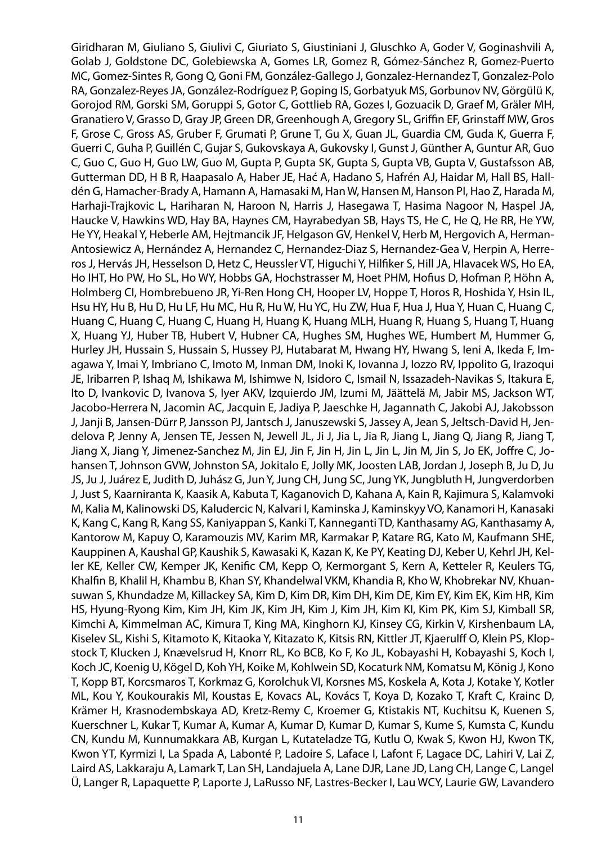Giridharan M, Giuliano S, Giulivi C, Giuriato S, Giustiniani J, Gluschko A, Goder V, Goginashvili A, Golab J, Goldstone DC, Golebiewska A, Gomes LR, Gomez R, Gómez-Sánchez R, Gomez-Puerto MC, Gomez-Sintes R, Gong Q, Goni FM, González-Gallego J, Gonzalez-Hernandez T, Gonzalez-Polo RA, Gonzalez-Reyes JA, González-Rodríguez P, Goping IS, Gorbatyuk MS, Gorbunov NV, Görgülü K, Gorojod RM, Gorski SM, Goruppi S, Gotor C, Gottlieb RA, Gozes I, Gozuacik D, Graef M, Gräler MH, Granatiero V, Grasso D, Gray JP, Green DR, Greenhough A, Gregory SL, Griffin EF, Grinstaff MW, Gros F, Grose C, Gross AS, Gruber F, Grumati P, Grune T, Gu X, Guan JL, Guardia CM, Guda K, Guerra F, Guerri C, Guha P, Guillén C, Gujar S, Gukovskaya A, Gukovsky I, Gunst J, Günther A, Guntur AR, Guo C, Guo C, Guo H, Guo LW, Guo M, Gupta P, Gupta SK, Gupta S, Gupta VB, Gupta V, Gustafsson AB, Gutterman DD, H B R, Haapasalo A, Haber JE, Hać A, Hadano S, Hafrén AJ, Haidar M, Hall BS, Halldén G, Hamacher-Brady A, Hamann A, Hamasaki M, Han W, Hansen M, Hanson PI, Hao Z, Harada M, Harhaji-Trajkovic L, Hariharan N, Haroon N, Harris J, Hasegawa T, Hasima Nagoor N, Haspel JA, Haucke V, Hawkins WD, Hay BA, Haynes CM, Hayrabedyan SB, Hays TS, He C, He Q, He RR, He YW, He YY, Heakal Y, Heberle AM, Hejtmancik JF, Helgason GV, Henkel V, Herb M, Hergovich A, Herman-Antosiewicz A, Hernández A, Hernandez C, Hernandez-Diaz S, Hernandez-Gea V, Herpin A, Herreros J, Hervás JH, Hesselson D, Hetz C, Heussler VT, Higuchi Y, Hilfiker S, Hill JA, Hlavacek WS, Ho EA, Ho IHT, Ho PW, Ho SL, Ho WY, Hobbs GA, Hochstrasser M, Hoet PHM, Hofius D, Hofman P, Höhn A, Holmberg CI, Hombrebueno JR, Yi-Ren Hong CH, Hooper LV, Hoppe T, Horos R, Hoshida Y, Hsin IL, Hsu HY, Hu B, Hu D, Hu LF, Hu MC, Hu R, Hu W, Hu YC, Hu ZW, Hua F, Hua J, Hua Y, Huan C, Huang C, Huang C, Huang C, Huang C, Huang H, Huang K, Huang MLH, Huang R, Huang S, Huang T, Huang X, Huang YJ, Huber TB, Hubert V, Hubner CA, Hughes SM, Hughes WE, Humbert M, Hummer G, Hurley JH, Hussain S, Hussain S, Hussey PJ, Hutabarat M, Hwang HY, Hwang S, Ieni A, Ikeda F, Imagawa Y, Imai Y, Imbriano C, Imoto M, Inman DM, Inoki K, Iovanna J, Iozzo RV, Ippolito G, Irazoqui JE, Iribarren P, Ishaq M, Ishikawa M, Ishimwe N, Isidoro C, Ismail N, Issazadeh-Navikas S, Itakura E, Ito D, Ivankovic D, Ivanova S, Iyer AKV, Izquierdo JM, Izumi M, Jäättelä M, Jabir MS, Jackson WT, Jacobo-Herrera N, Jacomin AC, Jacquin E, Jadiya P, Jaeschke H, Jagannath C, Jakobi AJ, Jakobsson J, Janji B, Jansen-Dürr P, Jansson PJ, Jantsch J, Januszewski S, Jassey A, Jean S, Jeltsch-David H, Jendelova P, Jenny A, Jensen TE, Jessen N, Jewell JL, Ji J, Jia L, Jia R, Jiang L, Jiang Q, Jiang R, Jiang T, Jiang X, Jiang Y, Jimenez-Sanchez M, Jin EJ, Jin F, Jin H, Jin L, Jin L, Jin M, Jin S, Jo EK, Joffre C, Johansen T, Johnson GVW, Johnston SA, Jokitalo E, Jolly MK, Joosten LAB, Jordan J, Joseph B, Ju D, Ju JS, Ju J, Juárez E, Judith D, Juhász G, Jun Y, Jung CH, Jung SC, Jung YK, Jungbluth H, Jungverdorben J, Just S, Kaarniranta K, Kaasik A, Kabuta T, Kaganovich D, Kahana A, Kain R, Kajimura S, Kalamvoki M, Kalia M, Kalinowski DS, Kaludercic N, Kalvari I, Kaminska J, Kaminskyy VO, Kanamori H, Kanasaki K, Kang C, Kang R, Kang SS, Kaniyappan S, Kanki T, Kanneganti TD, Kanthasamy AG, Kanthasamy A, Kantorow M, Kapuy O, Karamouzis MV, Karim MR, Karmakar P, Katare RG, Kato M, Kaufmann SHE, Kauppinen A, Kaushal GP, Kaushik S, Kawasaki K, Kazan K, Ke PY, Keating DJ, Keber U, Kehrl JH, Keller KE, Keller CW, Kemper JK, Kenific CM, Kepp O, Kermorgant S, Kern A, Ketteler R, Keulers TG, Khalfin B, Khalil H, Khambu B, Khan SY, Khandelwal VKM, Khandia R, Kho W, Khobrekar NV, Khuansuwan S, Khundadze M, Killackey SA, Kim D, Kim DR, Kim DH, Kim DE, Kim EY, Kim EK, Kim HR, Kim HS, Hyung-Ryong Kim, Kim JH, Kim JK, Kim JH, Kim J, Kim JH, Kim KI, Kim PK, Kim SJ, Kimball SR, Kimchi A, Kimmelman AC, Kimura T, King MA, Kinghorn KJ, Kinsey CG, Kirkin V, Kirshenbaum LA, Kiselev SL, Kishi S, Kitamoto K, Kitaoka Y, Kitazato K, Kitsis RN, Kittler JT, Kjaerulff O, Klein PS, Klopstock T, Klucken J, Knævelsrud H, Knorr RL, Ko BCB, Ko F, Ko JL, Kobayashi H, Kobayashi S, Koch I, Koch JC, Koenig U, Kögel D, Koh YH, Koike M, Kohlwein SD, Kocaturk NM, Komatsu M, König J, Kono T, Kopp BT, Korcsmaros T, Korkmaz G, Korolchuk VI, Korsnes MS, Koskela A, Kota J, Kotake Y, Kotler ML, Kou Y, Koukourakis MI, Koustas E, Kovacs AL, Kovács T, Koya D, Kozako T, Kraft C, Krainc D, Krämer H, Krasnodembskaya AD, Kretz-Remy C, Kroemer G, Ktistakis NT, Kuchitsu K, Kuenen S, Kuerschner L, Kukar T, Kumar A, Kumar A, Kumar D, Kumar D, Kumar S, Kume S, Kumsta C, Kundu CN, Kundu M, Kunnumakkara AB, Kurgan L, Kutateladze TG, Kutlu O, Kwak S, Kwon HJ, Kwon TK, Kwon YT, Kyrmizi I, La Spada A, Labonté P, Ladoire S, Laface I, Lafont F, Lagace DC, Lahiri V, Lai Z, Laird AS, Lakkaraju A, Lamark T, Lan SH, Landajuela A, Lane DJR, Lane JD, Lang CH, Lange C, Langel Ü, Langer R, Lapaquette P, Laporte J, LaRusso NF, Lastres-Becker I, Lau WCY, Laurie GW, Lavandero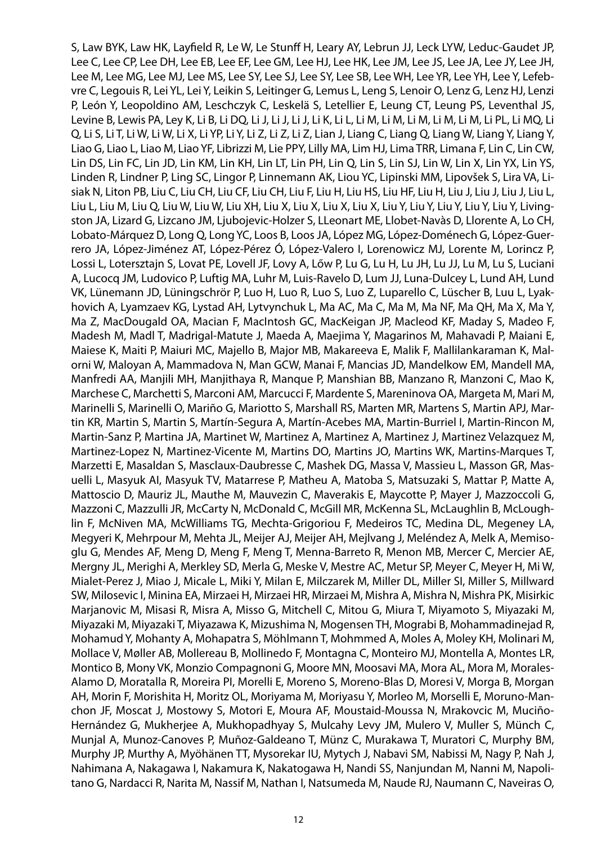S, Law BYK, Law HK, Layfield R, Le W, Le Stunff H, Leary AY, Lebrun JJ, Leck LYW, Leduc-Gaudet JP, Lee C, Lee CP, Lee DH, Lee EB, Lee EF, Lee GM, Lee HJ, Lee HK, Lee JM, Lee JS, Lee JA, Lee JY, Lee JH, Lee M, Lee MG, Lee MJ, Lee MS, Lee SY, Lee SJ, Lee SY, Lee SB, Lee WH, Lee YR, Lee YH, Lee Y, Lefebvre C, Legouis R, Lei YL, Lei Y, Leikin S, Leitinger G, Lemus L, Leng S, Lenoir O, Lenz G, Lenz HJ, Lenzi P, León Y, Leopoldino AM, Leschczyk C, Leskelä S, Letellier E, Leung CT, Leung PS, Leventhal JS, Levine B, Lewis PA, Ley K, Li B, Li DQ, Li J, Li J, Li J, Li K, Li L, Li M, Li M, Li M, Li M, Li M, Li PL, Li MQ, Li Q, Li S, Li T, Li W, Li W, Li X, Li YP, Li Y, Li Z, Li Z, Li Z, Lian J, Liang C, Liang Q, Liang W, Liang Y, Liang Y, Liao G, Liao L, Liao M, Liao YF, Librizzi M, Lie PPY, Lilly MA, Lim HJ, Lima TRR, Limana F, Lin C, Lin CW, Lin DS, Lin FC, Lin JD, Lin KM, Lin KH, Lin LT, Lin PH, Lin Q, Lin S, Lin SJ, Lin W, Lin X, Lin YX, Lin YS, Linden R, Lindner P, Ling SC, Lingor P, Linnemann AK, Liou YC, Lipinski MM, Lipovšek S, Lira VA, Lisiak N, Liton PB, Liu C, Liu CH, Liu CF, Liu CH, Liu F, Liu H, Liu HS, Liu HF, Liu H, Liu J, Liu J, Liu J, Liu L, Liu L, Liu M, Liu Q, Liu W, Liu W, Liu XH, Liu X, Liu X, Liu X, Liu X, Liu Y, Liu Y, Liu Y, Liu Y, Liu Y, Livingston JA, Lizard G, Lizcano JM, Ljubojevic-Holzer S, LLeonart ME, Llobet-Navàs D, Llorente A, Lo CH, Lobato-Márquez D, Long Q, Long YC, Loos B, Loos JA, López MG, López-Doménech G, López-Guerrero JA, López-Jiménez AT, López-Pérez Ó, López-Valero I, Lorenowicz MJ, Lorente M, Lorincz P, Lossi L, Lotersztajn S, Lovat PE, Lovell JF, Lovy A, Lőw P, Lu G, Lu H, Lu JH, Lu JJ, Lu M, Lu S, Luciani A, Lucocq JM, Ludovico P, Luftig MA, Luhr M, Luis-Ravelo D, Lum JJ, Luna-Dulcey L, Lund AH, Lund VK, Lünemann JD, Lüningschrör P, Luo H, Luo R, Luo S, Luo Z, Luparello C, Lüscher B, Luu L, Lyakhovich A, Lyamzaev KG, Lystad AH, Lytvynchuk L, Ma AC, Ma C, Ma M, Ma NF, Ma QH, Ma X, Ma Y, Ma Z, MacDougald OA, Macian F, MacIntosh GC, MacKeigan JP, Macleod KF, Maday S, Madeo F, Madesh M, Madl T, Madrigal-Matute J, Maeda A, Maejima Y, Magarinos M, Mahavadi P, Maiani E, Maiese K, Maiti P, Maiuri MC, Majello B, Major MB, Makareeva E, Malik F, Mallilankaraman K, Malorni W, Maloyan A, Mammadova N, Man GCW, Manai F, Mancias JD, Mandelkow EM, Mandell MA, Manfredi AA, Manjili MH, Manjithaya R, Manque P, Manshian BB, Manzano R, Manzoni C, Mao K, Marchese C, Marchetti S, Marconi AM, Marcucci F, Mardente S, Mareninova OA, Margeta M, Mari M, Marinelli S, Marinelli O, Mariño G, Mariotto S, Marshall RS, Marten MR, Martens S, Martin APJ, Martin KR, Martin S, Martin S, Martín-Segura A, Martín-Acebes MA, Martin-Burriel I, Martin-Rincon M, Martin-Sanz P, Martina JA, Martinet W, Martinez A, Martinez A, Martinez J, Martinez Velazquez M, Martinez-Lopez N, Martinez-Vicente M, Martins DO, Martins JO, Martins WK, Martins-Marques T, Marzetti E, Masaldan S, Masclaux-Daubresse C, Mashek DG, Massa V, Massieu L, Masson GR, Masuelli L, Masyuk AI, Masyuk TV, Matarrese P, Matheu A, Matoba S, Matsuzaki S, Mattar P, Matte A, Mattoscio D, Mauriz JL, Mauthe M, Mauvezin C, Maverakis E, Maycotte P, Mayer J, Mazzoccoli G, Mazzoni C, Mazzulli JR, McCarty N, McDonald C, McGill MR, McKenna SL, McLaughlin B, McLoughlin F, McNiven MA, McWilliams TG, Mechta-Grigoriou F, Medeiros TC, Medina DL, Megeney LA, Megyeri K, Mehrpour M, Mehta JL, Meijer AJ, Meijer AH, Mejlvang J, Meléndez A, Melk A, Memisoglu G, Mendes AF, Meng D, Meng F, Meng T, Menna-Barreto R, Menon MB, Mercer C, Mercier AE, Mergny JL, Merighi A, Merkley SD, Merla G, Meske V, Mestre AC, Metur SP, Meyer C, Meyer H, Mi W, Mialet-Perez J, Miao J, Micale L, Miki Y, Milan E, Milczarek M, Miller DL, Miller SI, Miller S, Millward SW, Milosevic I, Minina EA, Mirzaei H, Mirzaei HR, Mirzaei M, Mishra A, Mishra N, Mishra PK, Misirkic Marjanovic M, Misasi R, Misra A, Misso G, Mitchell C, Mitou G, Miura T, Miyamoto S, Miyazaki M, Miyazaki M, Miyazaki T, Miyazawa K, Mizushima N, Mogensen TH, Mograbi B, Mohammadinejad R, Mohamud Y, Mohanty A, Mohapatra S, Möhlmann T, Mohmmed A, Moles A, Moley KH, Molinari M, Mollace V, Møller AB, Mollereau B, Mollinedo F, Montagna C, Monteiro MJ, Montella A, Montes LR, Montico B, Mony VK, Monzio Compagnoni G, Moore MN, Moosavi MA, Mora AL, Mora M, Morales-Alamo D, Moratalla R, Moreira PI, Morelli E, Moreno S, Moreno-Blas D, Moresi V, Morga B, Morgan AH, Morin F, Morishita H, Moritz OL, Moriyama M, Moriyasu Y, Morleo M, Morselli E, Moruno-Manchon JF, Moscat J, Mostowy S, Motori E, Moura AF, Moustaid-Moussa N, Mrakovcic M, Muciño-Hernández G, Mukherjee A, Mukhopadhyay S, Mulcahy Levy JM, Mulero V, Muller S, Münch C, Munjal A, Munoz-Canoves P, Muñoz-Galdeano T, Münz C, Murakawa T, Muratori C, Murphy BM, Murphy JP, Murthy A, Myöhänen TT, Mysorekar IU, Mytych J, Nabavi SM, Nabissi M, Nagy P, Nah J, Nahimana A, Nakagawa I, Nakamura K, Nakatogawa H, Nandi SS, Nanjundan M, Nanni M, Napolitano G, Nardacci R, Narita M, Nassif M, Nathan I, Natsumeda M, Naude RJ, Naumann C, Naveiras O,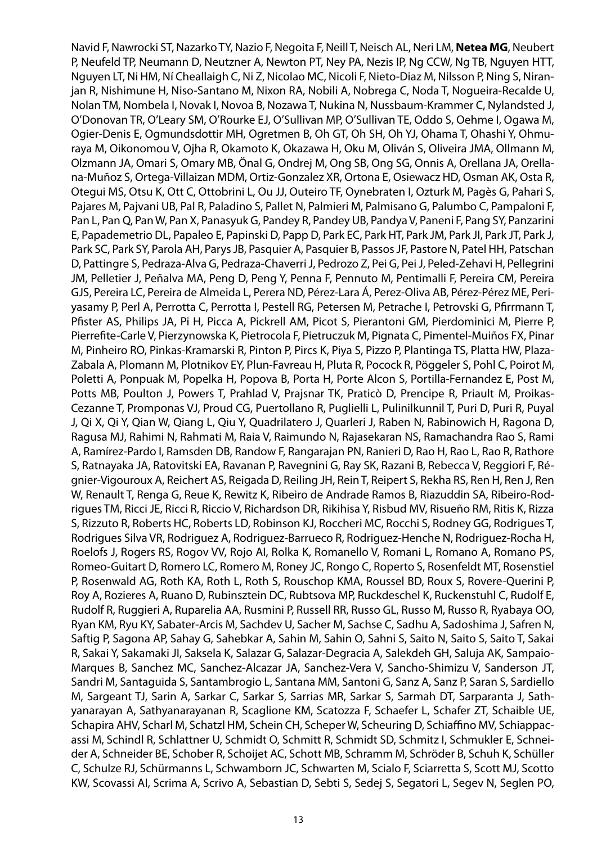Navid F, Nawrocki ST, Nazarko TY, Nazio F, Negoita F, Neill T, Neisch AL, Neri LM, **Netea MG**, Neubert P, Neufeld TP, Neumann D, Neutzner A, Newton PT, Ney PA, Nezis IP, Ng CCW, Ng TB, Nguyen HTT, Nguyen LT, Ni HM, Ní Cheallaigh C, Ni Z, Nicolao MC, Nicoli F, Nieto-Diaz M, Nilsson P, Ning S, Niranjan R, Nishimune H, Niso-Santano M, Nixon RA, Nobili A, Nobrega C, Noda T, Nogueira-Recalde U, Nolan TM, Nombela I, Novak I, Novoa B, Nozawa T, Nukina N, Nussbaum-Krammer C, Nylandsted J, O'Donovan TR, O'Leary SM, O'Rourke EJ, O'Sullivan MP, O'Sullivan TE, Oddo S, Oehme I, Ogawa M, Ogier-Denis E, Ogmundsdottir MH, Ogretmen B, Oh GT, Oh SH, Oh YJ, Ohama T, Ohashi Y, Ohmuraya M, Oikonomou V, Ojha R, Okamoto K, Okazawa H, Oku M, Oliván S, Oliveira JMA, Ollmann M, Olzmann JA, Omari S, Omary MB, Önal G, Ondrej M, Ong SB, Ong SG, Onnis A, Orellana JA, Orellana-Muñoz S, Ortega-Villaizan MDM, Ortiz-Gonzalez XR, Ortona E, Osiewacz HD, Osman AK, Osta R, Otegui MS, Otsu K, Ott C, Ottobrini L, Ou JJ, Outeiro TF, Oynebraten I, Ozturk M, Pagès G, Pahari S, Pajares M, Pajvani UB, Pal R, Paladino S, Pallet N, Palmieri M, Palmisano G, Palumbo C, Pampaloni F, Pan L, Pan Q, Pan W, Pan X, Panasyuk G, Pandey R, Pandey UB, Pandya V, Paneni F, Pang SY, Panzarini E, Papademetrio DL, Papaleo E, Papinski D, Papp D, Park EC, Park HT, Park JM, Park JI, Park JT, Park J, Park SC, Park SY, Parola AH, Parys JB, Pasquier A, Pasquier B, Passos JF, Pastore N, Patel HH, Patschan D, Pattingre S, Pedraza-Alva G, Pedraza-Chaverri J, Pedrozo Z, Pei G, Pei J, Peled-Zehavi H, Pellegrini JM, Pelletier J, Peñalva MA, Peng D, Peng Y, Penna F, Pennuto M, Pentimalli F, Pereira CM, Pereira GJS, Pereira LC, Pereira de Almeida L, Perera ND, Pérez-Lara Á, Perez-Oliva AB, Pérez-Pérez ME, Periyasamy P, Perl A, Perrotta C, Perrotta I, Pestell RG, Petersen M, Petrache I, Petrovski G, Pfirrmann T, Pfister AS, Philips JA, Pi H, Picca A, Pickrell AM, Picot S, Pierantoni GM, Pierdominici M, Pierre P, Pierrefite-Carle V, Pierzynowska K, Pietrocola F, Pietruczuk M, Pignata C, Pimentel-Muiños FX, Pinar M, Pinheiro RO, Pinkas-Kramarski R, Pinton P, Pircs K, Piya S, Pizzo P, Plantinga TS, Platta HW, Plaza-Zabala A, Plomann M, Plotnikov EY, Plun-Favreau H, Pluta R, Pocock R, Pöggeler S, Pohl C, Poirot M, Poletti A, Ponpuak M, Popelka H, Popova B, Porta H, Porte Alcon S, Portilla-Fernandez E, Post M, Potts MB, Poulton J, Powers T, Prahlad V, Prajsnar TK, Praticò D, Prencipe R, Priault M, Proikas-Cezanne T, Promponas VJ, Proud CG, Puertollano R, Puglielli L, Pulinilkunnil T, Puri D, Puri R, Puyal J, Qi X, Qi Y, Qian W, Qiang L, Qiu Y, Quadrilatero J, Quarleri J, Raben N, Rabinowich H, Ragona D, Ragusa MJ, Rahimi N, Rahmati M, Raia V, Raimundo N, Rajasekaran NS, Ramachandra Rao S, Rami A, Ramírez-Pardo I, Ramsden DB, Randow F, Rangarajan PN, Ranieri D, Rao H, Rao L, Rao R, Rathore S, Ratnayaka JA, Ratovitski EA, Ravanan P, Ravegnini G, Ray SK, Razani B, Rebecca V, Reggiori F, Régnier-Vigouroux A, Reichert AS, Reigada D, Reiling JH, Rein T, Reipert S, Rekha RS, Ren H, Ren J, Ren W, Renault T, Renga G, Reue K, Rewitz K, Ribeiro de Andrade Ramos B, Riazuddin SA, Ribeiro-Rodrigues TM, Ricci JE, Ricci R, Riccio V, Richardson DR, Rikihisa Y, Risbud MV, Risueño RM, Ritis K, Rizza S, Rizzuto R, Roberts HC, Roberts LD, Robinson KJ, Roccheri MC, Rocchi S, Rodney GG, Rodrigues T, Rodrigues Silva VR, Rodriguez A, Rodriguez-Barrueco R, Rodriguez-Henche N, Rodriguez-Rocha H, Roelofs J, Rogers RS, Rogov VV, Rojo AI, Rolka K, Romanello V, Romani L, Romano A, Romano PS, Romeo-Guitart D, Romero LC, Romero M, Roney JC, Rongo C, Roperto S, Rosenfeldt MT, Rosenstiel P, Rosenwald AG, Roth KA, Roth L, Roth S, Rouschop KMA, Roussel BD, Roux S, Rovere-Querini P, Roy A, Rozieres A, Ruano D, Rubinsztein DC, Rubtsova MP, Ruckdeschel K, Ruckenstuhl C, Rudolf E, Rudolf R, Ruggieri A, Ruparelia AA, Rusmini P, Russell RR, Russo GL, Russo M, Russo R, Ryabaya OO, Ryan KM, Ryu KY, Sabater-Arcis M, Sachdev U, Sacher M, Sachse C, Sadhu A, Sadoshima J, Safren N, Saftig P, Sagona AP, Sahay G, Sahebkar A, Sahin M, Sahin O, Sahni S, Saito N, Saito S, Saito T, Sakai R, Sakai Y, Sakamaki JI, Saksela K, Salazar G, Salazar-Degracia A, Salekdeh GH, Saluja AK, Sampaio-Marques B, Sanchez MC, Sanchez-Alcazar JA, Sanchez-Vera V, Sancho-Shimizu V, Sanderson JT, Sandri M, Santaguida S, Santambrogio L, Santana MM, Santoni G, Sanz A, Sanz P, Saran S, Sardiello M, Sargeant TJ, Sarin A, Sarkar C, Sarkar S, Sarrias MR, Sarkar S, Sarmah DT, Sarparanta J, Sathyanarayan A, Sathyanarayanan R, Scaglione KM, Scatozza F, Schaefer L, Schafer ZT, Schaible UE, Schapira AHV, Scharl M, Schatzl HM, Schein CH, Scheper W, Scheuring D, Schiaffino MV, Schiappacassi M, Schindl R, Schlattner U, Schmidt O, Schmitt R, Schmidt SD, Schmitz I, Schmukler E, Schneider A, Schneider BE, Schober R, Schoijet AC, Schott MB, Schramm M, Schröder B, Schuh K, Schüller C, Schulze RJ, Schürmanns L, Schwamborn JC, Schwarten M, Scialo F, Sciarretta S, Scott MJ, Scotto KW, Scovassi AI, Scrima A, Scrivo A, Sebastian D, Sebti S, Sedej S, Segatori L, Segev N, Seglen PO,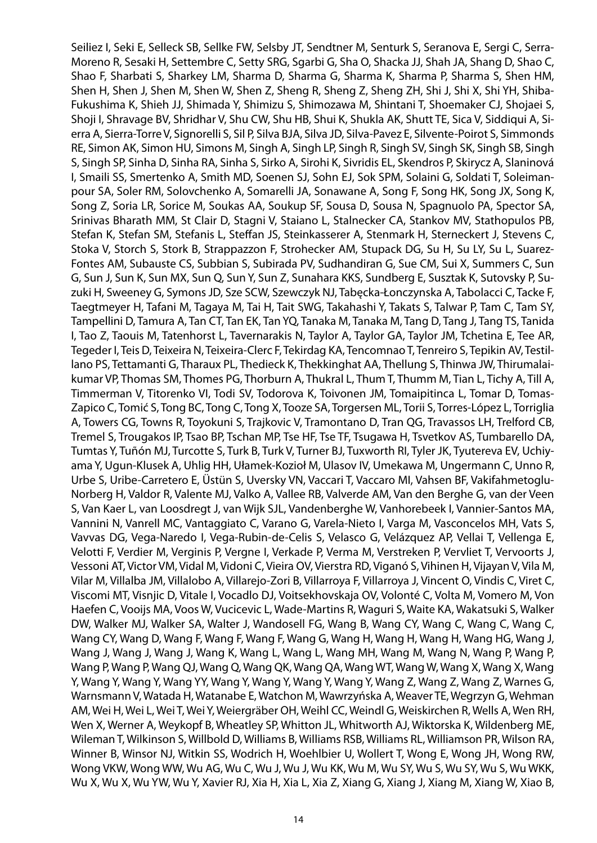Seiliez I, Seki E, Selleck SB, Sellke FW, Selsby JT, Sendtner M, Senturk S, Seranova E, Sergi C, Serra-Moreno R, Sesaki H, Settembre C, Setty SRG, Sgarbi G, Sha O, Shacka JJ, Shah JA, Shang D, Shao C, Shao F, Sharbati S, Sharkey LM, Sharma D, Sharma G, Sharma K, Sharma P, Sharma S, Shen HM, Shen H, Shen J, Shen M, Shen W, Shen Z, Sheng R, Sheng Z, Sheng ZH, Shi J, Shi X, Shi YH, Shiba-Fukushima K, Shieh JJ, Shimada Y, Shimizu S, Shimozawa M, Shintani T, Shoemaker CJ, Shojaei S, Shoji I, Shravage BV, Shridhar V, Shu CW, Shu HB, Shui K, Shukla AK, Shutt TE, Sica V, Siddiqui A, Sierra A, Sierra-Torre V, Signorelli S, Sil P, Silva BJA, Silva JD, Silva-Pavez E, Silvente-Poirot S, Simmonds RE, Simon AK, Simon HU, Simons M, Singh A, Singh LP, Singh R, Singh SV, Singh SK, Singh SB, Singh S, Singh SP, Sinha D, Sinha RA, Sinha S, Sirko A, Sirohi K, Sivridis EL, Skendros P, Skirycz A, Slaninová I, Smaili SS, Smertenko A, Smith MD, Soenen SJ, Sohn EJ, Sok SPM, Solaini G, Soldati T, Soleimanpour SA, Soler RM, Solovchenko A, Somarelli JA, Sonawane A, Song F, Song HK, Song JX, Song K, Song Z, Soria LR, Sorice M, Soukas AA, Soukup SF, Sousa D, Sousa N, Spagnuolo PA, Spector SA, Srinivas Bharath MM, St Clair D, Stagni V, Staiano L, Stalnecker CA, Stankov MV, Stathopulos PB, Stefan K, Stefan SM, Stefanis L, Steffan JS, Steinkasserer A, Stenmark H, Sterneckert J, Stevens C, Stoka V, Storch S, Stork B, Strappazzon F, Strohecker AM, Stupack DG, Su H, Su LY, Su L, Suarez-Fontes AM, Subauste CS, Subbian S, Subirada PV, Sudhandiran G, Sue CM, Sui X, Summers C, Sun G, Sun J, Sun K, Sun MX, Sun Q, Sun Y, Sun Z, Sunahara KKS, Sundberg E, Susztak K, Sutovsky P, Suzuki H, Sweeney G, Symons JD, Sze SCW, Szewczyk NJ, Tabęcka-Łonczynska A, Tabolacci C, Tacke F, Taegtmeyer H, Tafani M, Tagaya M, Tai H, Tait SWG, Takahashi Y, Takats S, Talwar P, Tam C, Tam SY, Tampellini D, Tamura A, Tan CT, Tan EK, Tan YQ, Tanaka M, Tanaka M, Tang D, Tang J, Tang TS, Tanida I, Tao Z, Taouis M, Tatenhorst L, Tavernarakis N, Taylor A, Taylor GA, Taylor JM, Tchetina E, Tee AR, Tegeder I, Teis D, Teixeira N, Teixeira-Clerc F, Tekirdag KA, Tencomnao T, Tenreiro S, Tepikin AV, Testillano PS, Tettamanti G, Tharaux PL, Thedieck K, Thekkinghat AA, Thellung S, Thinwa JW, Thirumalaikumar VP, Thomas SM, Thomes PG, Thorburn A, Thukral L, Thum T, Thumm M, Tian L, Tichy A, Till A, Timmerman V, Titorenko VI, Todi SV, Todorova K, Toivonen JM, Tomaipitinca L, Tomar D, Tomas-Zapico C, Tomić S, Tong BC, Tong C, Tong X, Tooze SA, Torgersen ML, Torii S, Torres-López L, Torriglia A, Towers CG, Towns R, Toyokuni S, Trajkovic V, Tramontano D, Tran QG, Travassos LH, Trelford CB, Tremel S, Trougakos IP, Tsao BP, Tschan MP, Tse HF, Tse TF, Tsugawa H, Tsvetkov AS, Tumbarello DA, Tumtas Y, Tuñón MJ, Turcotte S, Turk B, Turk V, Turner BJ, Tuxworth RI, Tyler JK, Tyutereva EV, Uchiyama Y, Ugun-Klusek A, Uhlig HH, Ułamek-Kozioł M, Ulasov IV, Umekawa M, Ungermann C, Unno R, Urbe S, Uribe-Carretero E, Üstün S, Uversky VN, Vaccari T, Vaccaro MI, Vahsen BF, Vakifahmetoglu-Norberg H, Valdor R, Valente MJ, Valko A, Vallee RB, Valverde AM, Van den Berghe G, van der Veen S, Van Kaer L, van Loosdregt J, van Wijk SJL, Vandenberghe W, Vanhorebeek I, Vannier-Santos MA, Vannini N, Vanrell MC, Vantaggiato C, Varano G, Varela-Nieto I, Varga M, Vasconcelos MH, Vats S, Vavvas DG, Vega-Naredo I, Vega-Rubin-de-Celis S, Velasco G, Velázquez AP, Vellai T, Vellenga E, Velotti F, Verdier M, Verginis P, Vergne I, Verkade P, Verma M, Verstreken P, Vervliet T, Vervoorts J, Vessoni AT, Victor VM, Vidal M, Vidoni C, Vieira OV, Vierstra RD, Viganó S, Vihinen H, Vijayan V, Vila M, Vilar M, Villalba JM, Villalobo A, Villarejo-Zori B, Villarroya F, Villarroya J, Vincent O, Vindis C, Viret C, Viscomi MT, Visnjic D, Vitale I, Vocadlo DJ, Voitsekhovskaja OV, Volonté C, Volta M, Vomero M, Von Haefen C, Vooijs MA, Voos W, Vucicevic L, Wade-Martins R, Waguri S, Waite KA, Wakatsuki S, Walker DW, Walker MJ, Walker SA, Walter J, Wandosell FG, Wang B, Wang CY, Wang C, Wang C, Wang C, Wang CY, Wang D, Wang F, Wang F, Wang F, Wang G, Wang H, Wang H, Wang H, Wang HG, Wang J, Wang J, Wang J, Wang J, Wang K, Wang L, Wang L, Wang MH, Wang M, Wang N, Wang P, Wang P, Wang P, Wang P, Wang QJ, Wang Q, Wang QK, Wang QA, Wang WT, Wang W, Wang X, Wang X, Wang Y, Wang Y, Wang Y, Wang YY, Wang Y, Wang Y, Wang Y, Wang Y, Wang Z, Wang Z, Wang Z, Warnes G, Warnsmann V, Watada H, Watanabe E, Watchon M, Wawrzyńska A, Weaver TE, Wegrzyn G, Wehman AM, Wei H, Wei L, Wei T, Wei Y, Weiergräber OH, Weihl CC, Weindl G, Weiskirchen R, Wells A, Wen RH, Wen X, Werner A, Weykopf B, Wheatley SP, Whitton JL, Whitworth AJ, Wiktorska K, Wildenberg ME, Wileman T, Wilkinson S, Willbold D, Williams B, Williams RSB, Williams RL, Williamson PR, Wilson RA, Winner B, Winsor NJ, Witkin SS, Wodrich H, Woehlbier U, Wollert T, Wong E, Wong JH, Wong RW, Wong VKW, Wong WW, Wu AG, Wu C, Wu J, Wu J, Wu KK, Wu M, Wu SY, Wu S, Wu SY, Wu S, Wu WKK, Wu X, Wu X, Wu YW, Wu Y, Xavier RJ, Xia H, Xia L, Xia Z, Xiang G, Xiang J, Xiang M, Xiang W, Xiao B,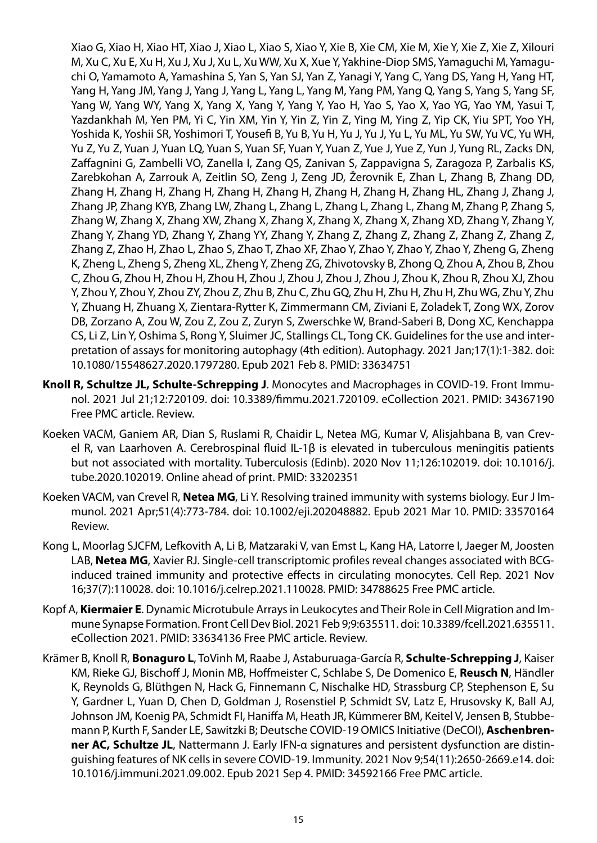Xiao G, Xiao H, Xiao HT, Xiao J, Xiao L, Xiao S, Xiao Y, Xie B, Xie CM, Xie M, Xie Y, Xie Z, Xie Z, Xilouri M, Xu C, Xu E, Xu H, Xu J, Xu J, Xu L, Xu WW, Xu X, Xue Y, Yakhine-Diop SMS, Yamaguchi M, Yamaguchi O, Yamamoto A, Yamashina S, Yan S, Yan SJ, Yan Z, Yanagi Y, Yang C, Yang DS, Yang H, Yang HT, Yang H, Yang JM, Yang J, Yang J, Yang L, Yang L, Yang M, Yang PM, Yang Q, Yang S, Yang S, Yang SF, Yang W, Yang WY, Yang X, Yang X, Yang Y, Yang Y, Yao H, Yao S, Yao X, Yao YG, Yao YM, Yasui T, Yazdankhah M, Yen PM, Yi C, Yin XM, Yin Y, Yin Z, Yin Z, Ying M, Ying Z, Yip CK, Yiu SPT, Yoo YH, Yoshida K, Yoshii SR, Yoshimori T, Yousefi B, Yu B, Yu H, Yu J, Yu J, Yu L, Yu ML, Yu SW, Yu VC, Yu WH, Yu Z, Yu Z, Yuan J, Yuan LQ, Yuan S, Yuan SF, Yuan Y, Yuan Z, Yue J, Yue Z, Yun J, Yung RL, Zacks DN, Zaffagnini G, Zambelli VO, Zanella I, Zang QS, Zanivan S, Zappavigna S, Zaragoza P, Zarbalis KS, Zarebkohan A, Zarrouk A, Zeitlin SO, Zeng J, Zeng JD, Žerovnik E, Zhan L, Zhang B, Zhang DD, Zhang H, Zhang H, Zhang H, Zhang H, Zhang H, Zhang H, Zhang H, Zhang HL, Zhang J, Zhang J, Zhang JP, Zhang KYB, Zhang LW, Zhang L, Zhang L, Zhang L, Zhang L, Zhang M, Zhang P, Zhang S, Zhang W, Zhang X, Zhang XW, Zhang X, Zhang X, Zhang X, Zhang X, Zhang XD, Zhang Y, Zhang Y, Zhang Y, Zhang YD, Zhang Y, Zhang YY, Zhang Y, Zhang Z, Zhang Z, Zhang Z, Zhang Z, Zhang Z, Zhang Z, Zhao H, Zhao L, Zhao S, Zhao T, Zhao XF, Zhao Y, Zhao Y, Zhao Y, Zhao Y, Zheng G, Zheng K, Zheng L, Zheng S, Zheng XL, Zheng Y, Zheng ZG, Zhivotovsky B, Zhong Q, Zhou A, Zhou B, Zhou C, Zhou G, Zhou H, Zhou H, Zhou H, Zhou J, Zhou J, Zhou J, Zhou J, Zhou K, Zhou R, Zhou XJ, Zhou Y, Zhou Y, Zhou Y, Zhou ZY, Zhou Z, Zhu B, Zhu C, Zhu GQ, Zhu H, Zhu H, Zhu H, Zhu WG, Zhu Y, Zhu Y, Zhuang H, Zhuang X, Zientara-Rytter K, Zimmermann CM, Ziviani E, Zoladek T, Zong WX, Zorov DB, Zorzano A, Zou W, Zou Z, Zou Z, Zuryn S, Zwerschke W, Brand-Saberi B, Dong XC, Kenchappa CS, Li Z, Lin Y, Oshima S, Rong Y, Sluimer JC, Stallings CL, Tong CK. Guidelines for the use and interpretation of assays for monitoring autophagy (4th edition). Autophagy. 2021 Jan;17(1):1-382. doi: 10.1080/15548627.2020.1797280. Epub 2021 Feb 8. PMID: 33634751

- **Knoll R, Schultze JL, Schulte-Schrepping J**. Monocytes and Macrophages in COVID-19. Front Immunol. 2021 Jul 21;12:720109. doi: 10.3389/fimmu.2021.720109. eCollection 2021. PMID: 34367190 Free PMC article. Review.
- Koeken VACM, Ganiem AR, Dian S, Ruslami R, Chaidir L, Netea MG, Kumar V, Alisjahbana B, van Crevel R, van Laarhoven A. Cerebrospinal fluid IL-1β is elevated in tuberculous meningitis patients but not associated with mortality. Tuberculosis (Edinb). 2020 Nov 11;126:102019. doi: 10.1016/j. tube.2020.102019. Online ahead of print. PMID: 33202351
- Koeken VACM, van Crevel R, **Netea MG**, Li Y. Resolving trained immunity with systems biology. Eur J Immunol. 2021 Apr;51(4):773-784. doi: 10.1002/eji.202048882. Epub 2021 Mar 10. PMID: 33570164 Review.
- Kong L, Moorlag SJCFM, Lefkovith A, Li B, Matzaraki V, van Emst L, Kang HA, Latorre I, Jaeger M, Joosten LAB, **Netea MG**, Xavier RJ. Single-cell transcriptomic profiles reveal changes associated with BCGinduced trained immunity and protective effects in circulating monocytes. Cell Rep. 2021 Nov 16;37(7):110028. doi: 10.1016/j.celrep.2021.110028. PMID: 34788625 Free PMC article.
- Kopf A, **Kiermaier E**. Dynamic Microtubule Arrays in Leukocytes and Their Role in Cell Migration and Immune Synapse Formation. Front Cell Dev Biol. 2021 Feb 9;9:635511. doi: 10.3389/fcell.2021.635511. eCollection 2021. PMID: 33634136 Free PMC article. Review.
- Krämer B, Knoll R, **Bonaguro L**, ToVinh M, Raabe J, Astaburuaga-García R, **Schulte-Schrepping J**, Kaiser KM, Rieke GJ, Bischoff J, Monin MB, Hoffmeister C, Schlabe S, De Domenico E, **Reusch N**, Händler K, Reynolds G, Blüthgen N, Hack G, Finnemann C, Nischalke HD, Strassburg CP, Stephenson E, Su Y, Gardner L, Yuan D, Chen D, Goldman J, Rosenstiel P, Schmidt SV, Latz E, Hrusovsky K, Ball AJ, Johnson JM, Koenig PA, Schmidt FI, Haniffa M, Heath JR, Kümmerer BM, Keitel V, Jensen B, Stubbemann P, Kurth F, Sander LE, Sawitzki B; Deutsche COVID-19 OMICS Initiative (DeCOI), **Aschenbrenner AC, Schultze JL**, Nattermann J. Early IFN-α signatures and persistent dysfunction are distinguishing features of NK cells in severe COVID-19. Immunity. 2021 Nov 9;54(11):2650-2669.e14. doi: 10.1016/j.immuni.2021.09.002. Epub 2021 Sep 4. PMID: 34592166 Free PMC article.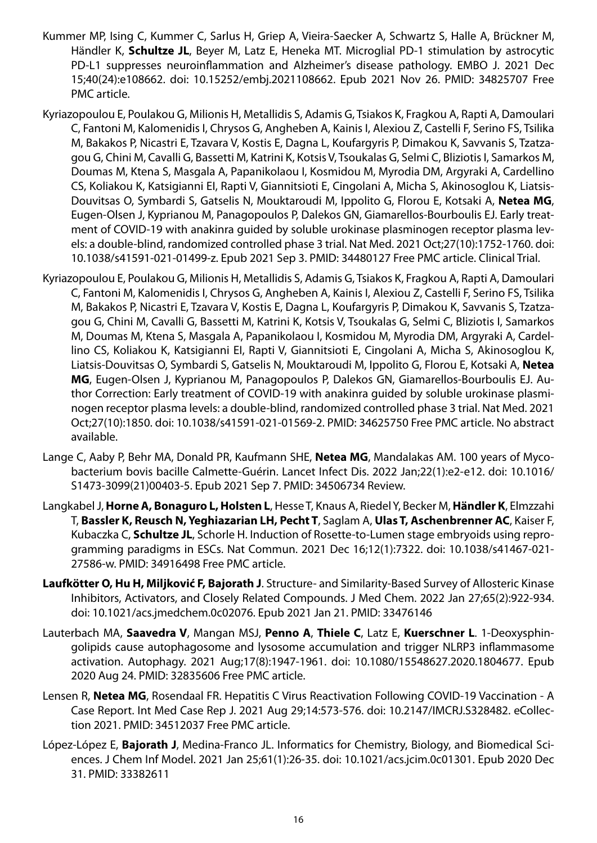- Kummer MP, Ising C, Kummer C, Sarlus H, Griep A, Vieira-Saecker A, Schwartz S, Halle A, Brückner M, Händler K, **Schultze JL**, Beyer M, Latz E, Heneka MT. Microglial PD-1 stimulation by astrocytic PD-L1 suppresses neuroinflammation and Alzheimer's disease pathology. EMBO J. 2021 Dec 15;40(24):e108662. doi: 10.15252/embj.2021108662. Epub 2021 Nov 26. PMID: 34825707 Free PMC article.
- Kyriazopoulou E, Poulakou G, Milionis H, Metallidis S, Adamis G, Tsiakos K, Fragkou A, Rapti A, Damoulari C, Fantoni M, Kalomenidis I, Chrysos G, Angheben A, Kainis I, Alexiou Z, Castelli F, Serino FS, Tsilika M, Bakakos P, Nicastri E, Tzavara V, Kostis E, Dagna L, Koufargyris P, Dimakou K, Savvanis S, Tzatzagou G, Chini M, Cavalli G, Bassetti M, Katrini K, Kotsis V, Tsoukalas G, Selmi C, Bliziotis I, Samarkos M, Doumas M, Ktena S, Masgala A, Papanikolaou I, Kosmidou M, Myrodia DM, Argyraki A, Cardellino CS, Koliakou K, Katsigianni EI, Rapti V, Giannitsioti E, Cingolani A, Micha S, Akinosoglou K, Liatsis-Douvitsas O, Symbardi S, Gatselis N, Mouktaroudi M, Ippolito G, Florou E, Kotsaki A, **Netea MG**, Eugen-Olsen J, Kyprianou M, Panagopoulos P, Dalekos GN, Giamarellos-Bourboulis EJ. Early treatment of COVID-19 with anakinra guided by soluble urokinase plasminogen receptor plasma levels: a double-blind, randomized controlled phase 3 trial. Nat Med. 2021 Oct;27(10):1752-1760. doi: 10.1038/s41591-021-01499-z. Epub 2021 Sep 3. PMID: 34480127 Free PMC article. Clinical Trial.
- Kyriazopoulou E, Poulakou G, Milionis H, Metallidis S, Adamis G, Tsiakos K, Fragkou A, Rapti A, Damoulari C, Fantoni M, Kalomenidis I, Chrysos G, Angheben A, Kainis I, Alexiou Z, Castelli F, Serino FS, Tsilika M, Bakakos P, Nicastri E, Tzavara V, Kostis E, Dagna L, Koufargyris P, Dimakou K, Savvanis S, Tzatzagou G, Chini M, Cavalli G, Bassetti M, Katrini K, Kotsis V, Tsoukalas G, Selmi C, Bliziotis I, Samarkos M, Doumas M, Ktena S, Masgala A, Papanikolaou I, Kosmidou M, Myrodia DM, Argyraki A, Cardellino CS, Koliakou K, Katsigianni EI, Rapti V, Giannitsioti E, Cingolani A, Micha S, Akinosoglou K, Liatsis-Douvitsas O, Symbardi S, Gatselis N, Mouktaroudi M, Ippolito G, Florou E, Kotsaki A, **Netea MG**, Eugen-Olsen J, Kyprianou M, Panagopoulos P, Dalekos GN, Giamarellos-Bourboulis EJ. Author Correction: Early treatment of COVID-19 with anakinra guided by soluble urokinase plasminogen receptor plasma levels: a double-blind, randomized controlled phase 3 trial. Nat Med. 2021 Oct;27(10):1850. doi: 10.1038/s41591-021-01569-2. PMID: 34625750 Free PMC article. No abstract available.
- Lange C, Aaby P, Behr MA, Donald PR, Kaufmann SHE, **Netea MG**, Mandalakas AM. 100 years of Mycobacterium bovis bacille Calmette-Guérin. Lancet Infect Dis. 2022 Jan;22(1):e2-e12. doi: 10.1016/ S1473-3099(21)00403-5. Epub 2021 Sep 7. PMID: 34506734 Review.
- Langkabel J, **Horne A, Bonaguro L, Holsten L**, Hesse T, Knaus A, Riedel Y, Becker M, **Händler K**, Elmzzahi T, **Bassler K, Reusch N, Yeghiazarian LH, Pecht T**, Saglam A, **Ulas T, Aschenbrenner AC**, Kaiser F, Kubaczka C, **Schultze JL**, Schorle H. Induction of Rosette-to-Lumen stage embryoids using reprogramming paradigms in ESCs. Nat Commun. 2021 Dec 16;12(1):7322. doi: 10.1038/s41467-021- 27586-w. PMID: 34916498 Free PMC article.
- **Laufkötter O, Hu H, Miljković F, Bajorath J**. Structure- and Similarity-Based Survey of Allosteric Kinase Inhibitors, Activators, and Closely Related Compounds. J Med Chem. 2022 Jan 27;65(2):922-934. doi: 10.1021/acs.jmedchem.0c02076. Epub 2021 Jan 21. PMID: 33476146
- Lauterbach MA, **Saavedra V**, Mangan MSJ, **Penno A**, **Thiele C**, Latz E, **Kuerschner L**. 1-Deoxysphingolipids cause autophagosome and lysosome accumulation and trigger NLRP3 inflammasome activation. Autophagy. 2021 Aug;17(8):1947-1961. doi: 10.1080/15548627.2020.1804677. Epub 2020 Aug 24. PMID: 32835606 Free PMC article.
- Lensen R, **Netea MG**, Rosendaal FR. Hepatitis C Virus Reactivation Following COVID-19 Vaccination A Case Report. Int Med Case Rep J. 2021 Aug 29;14:573-576. doi: 10.2147/IMCRJ.S328482. eCollection 2021. PMID: 34512037 Free PMC article.
- López-López E, **Bajorath J**, Medina-Franco JL. Informatics for Chemistry, Biology, and Biomedical Sciences. J Chem Inf Model. 2021 Jan 25;61(1):26-35. doi: 10.1021/acs.jcim.0c01301. Epub 2020 Dec 31. PMID: 33382611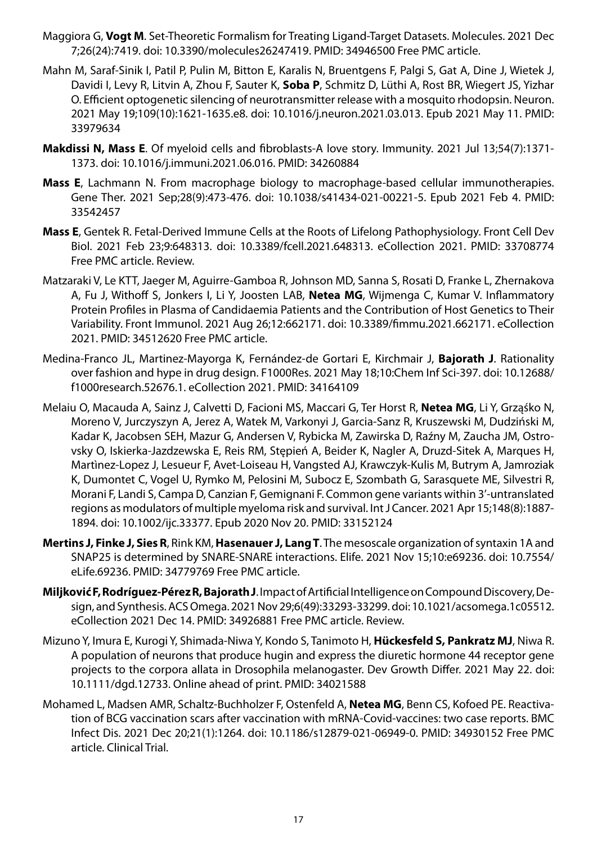- Maggiora G, **Vogt M**. Set-Theoretic Formalism for Treating Ligand-Target Datasets. Molecules. 2021 Dec 7;26(24):7419. doi: 10.3390/molecules26247419. PMID: 34946500 Free PMC article.
- Mahn M, Saraf-Sinik I, Patil P, Pulin M, Bitton E, Karalis N, Bruentgens F, Palgi S, Gat A, Dine J, Wietek J, Davidi I, Levy R, Litvin A, Zhou F, Sauter K, **Soba P**, Schmitz D, Lüthi A, Rost BR, Wiegert JS, Yizhar O. Efficient optogenetic silencing of neurotransmitter release with a mosquito rhodopsin. Neuron. 2021 May 19;109(10):1621-1635.e8. doi: 10.1016/j.neuron.2021.03.013. Epub 2021 May 11. PMID: 33979634
- **Makdissi N, Mass E**. Of myeloid cells and fibroblasts-A love story. Immunity. 2021 Jul 13;54(7):1371- 1373. doi: 10.1016/j.immuni.2021.06.016. PMID: 34260884
- **Mass E**, Lachmann N. From macrophage biology to macrophage-based cellular immunotherapies. Gene Ther. 2021 Sep;28(9):473-476. doi: 10.1038/s41434-021-00221-5. Epub 2021 Feb 4. PMID: 33542457
- **Mass E**, Gentek R. Fetal-Derived Immune Cells at the Roots of Lifelong Pathophysiology. Front Cell Dev Biol. 2021 Feb 23;9:648313. doi: 10.3389/fcell.2021.648313. eCollection 2021. PMID: 33708774 Free PMC article. Review.
- Matzaraki V, Le KTT, Jaeger M, Aguirre-Gamboa R, Johnson MD, Sanna S, Rosati D, Franke L, Zhernakova A, Fu J, Withoff S, Jonkers I, Li Y, Joosten LAB, **Netea MG**, Wijmenga C, Kumar V. Inflammatory Protein Profiles in Plasma of Candidaemia Patients and the Contribution of Host Genetics to Their Variability. Front Immunol. 2021 Aug 26;12:662171. doi: 10.3389/fimmu.2021.662171. eCollection 2021. PMID: 34512620 Free PMC article.
- Medina-Franco JL, Martinez-Mayorga K, Fernández-de Gortari E, Kirchmair J, **Bajorath J**. Rationality over fashion and hype in drug design. F1000Res. 2021 May 18;10:Chem Inf Sci-397. doi: 10.12688/ f1000research.52676.1. eCollection 2021. PMID: 34164109
- Melaiu O, Macauda A, Sainz J, Calvetti D, Facioni MS, Maccari G, Ter Horst R, **Netea MG**, Li Y, Grząśko N, Moreno V, Jurczyszyn A, Jerez A, Watek M, Varkonyi J, Garcia-Sanz R, Kruszewski M, Dudziński M, Kadar K, Jacobsen SEH, Mazur G, Andersen V, Rybicka M, Zawirska D, Raźny M, Zaucha JM, Ostrovsky O, Iskierka-Jazdzewska E, Reis RM, Stępień A, Beider K, Nagler A, Druzd-Sitek A, Marques H, Martìnez-Lopez J, Lesueur F, Avet-Loiseau H, Vangsted AJ, Krawczyk-Kulis M, Butrym A, Jamroziak K, Dumontet C, Vogel U, Rymko M, Pelosini M, Subocz E, Szombath G, Sarasquete ME, Silvestri R, Morani F, Landi S, Campa D, Canzian F, Gemignani F. Common gene variants within 3'-untranslated regions as modulators of multiple myeloma risk and survival. Int J Cancer. 2021 Apr 15;148(8):1887- 1894. doi: 10.1002/ijc.33377. Epub 2020 Nov 20. PMID: 33152124
- **Mertins J, Finke J, Sies R**, Rink KM, **Hasenauer J, Lang T**. The mesoscale organization of syntaxin 1A and SNAP25 is determined by SNARE-SNARE interactions. Elife. 2021 Nov 15;10:e69236. doi: 10.7554/ eLife.69236. PMID: 34779769 Free PMC article.
- **Miljković F, Rodríguez-Pérez R, Bajorath J**. Impact of Artificial Intelligence on Compound Discovery, Design, and Synthesis. ACS Omega. 2021 Nov 29;6(49):33293-33299. doi: 10.1021/acsomega.1c05512. eCollection 2021 Dec 14. PMID: 34926881 Free PMC article. Review.
- Mizuno Y, Imura E, Kurogi Y, Shimada-Niwa Y, Kondo S, Tanimoto H, **Hückesfeld S, Pankratz MJ**, Niwa R. A population of neurons that produce hugin and express the diuretic hormone 44 receptor gene projects to the corpora allata in Drosophila melanogaster. Dev Growth Differ. 2021 May 22. doi: 10.1111/dgd.12733. Online ahead of print. PMID: 34021588
- Mohamed L, Madsen AMR, Schaltz-Buchholzer F, Ostenfeld A, **Netea MG**, Benn CS, Kofoed PE. Reactivation of BCG vaccination scars after vaccination with mRNA-Covid-vaccines: two case reports. BMC Infect Dis. 2021 Dec 20;21(1):1264. doi: 10.1186/s12879-021-06949-0. PMID: 34930152 Free PMC article. Clinical Trial.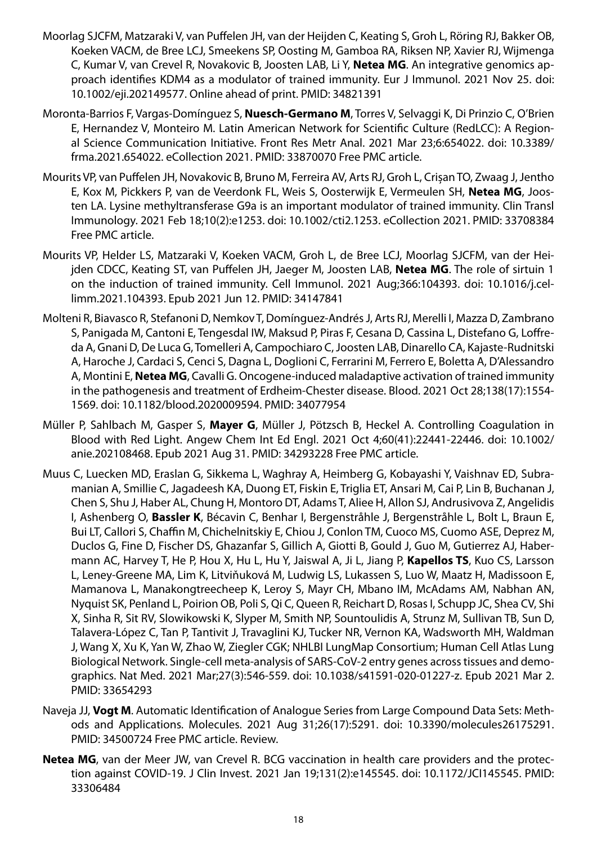- Moorlag SJCFM, Matzaraki V, van Puffelen JH, van der Heijden C, Keating S, Groh L, Röring RJ, Bakker OB, Koeken VACM, de Bree LCJ, Smeekens SP, Oosting M, Gamboa RA, Riksen NP, Xavier RJ, Wijmenga C, Kumar V, van Crevel R, Novakovic B, Joosten LAB, Li Y, **Netea MG**. An integrative genomics approach identifies KDM4 as a modulator of trained immunity. Eur J Immunol. 2021 Nov 25. doi: 10.1002/eji.202149577. Online ahead of print. PMID: 34821391
- Moronta-Barrios F, Vargas-Domínguez S, **Nuesch-Germano M**, Torres V, Selvaggi K, Di Prinzio C, O'Brien E, Hernandez V, Monteiro M. Latin American Network for Scientific Culture (RedLCC): A Regional Science Communication Initiative. Front Res Metr Anal. 2021 Mar 23;6:654022. doi: 10.3389/ frma.2021.654022. eCollection 2021. PMID: 33870070 Free PMC article.
- Mourits VP, van Puffelen JH, Novakovic B, Bruno M, Ferreira AV, Arts RJ, Groh L, Crișan TO, Zwaag J, Jentho E, Kox M, Pickkers P, van de Veerdonk FL, Weis S, Oosterwijk E, Vermeulen SH, **Netea MG**, Joosten LA. Lysine methyltransferase G9a is an important modulator of trained immunity. Clin Transl Immunology. 2021 Feb 18;10(2):e1253. doi: 10.1002/cti2.1253. eCollection 2021. PMID: 33708384 Free PMC article.
- Mourits VP, Helder LS, Matzaraki V, Koeken VACM, Groh L, de Bree LCJ, Moorlag SJCFM, van der Heijden CDCC, Keating ST, van Puffelen JH, Jaeger M, Joosten LAB, **Netea MG**. The role of sirtuin 1 on the induction of trained immunity. Cell Immunol. 2021 Aug;366:104393. doi: 10.1016/j.cellimm.2021.104393. Epub 2021 Jun 12. PMID: 34147841
- Molteni R, Biavasco R, Stefanoni D, Nemkov T, Domínguez-Andrés J, Arts RJ, Merelli I, Mazza D, Zambrano S, Panigada M, Cantoni E, Tengesdal IW, Maksud P, Piras F, Cesana D, Cassina L, Distefano G, Loffreda A, Gnani D, De Luca G, Tomelleri A, Campochiaro C, Joosten LAB, Dinarello CA, Kajaste-Rudnitski A, Haroche J, Cardaci S, Cenci S, Dagna L, Doglioni C, Ferrarini M, Ferrero E, Boletta A, D'Alessandro A, Montini E, **Netea MG**, Cavalli G. Oncogene-induced maladaptive activation of trained immunity in the pathogenesis and treatment of Erdheim-Chester disease. Blood. 2021 Oct 28;138(17):1554- 1569. doi: 10.1182/blood.2020009594. PMID: 34077954
- Müller P, Sahlbach M, Gasper S, **Mayer G**, Müller J, Pötzsch B, Heckel A. Controlling Coagulation in Blood with Red Light. Angew Chem Int Ed Engl. 2021 Oct 4;60(41):22441-22446. doi: 10.1002/ anie.202108468. Epub 2021 Aug 31. PMID: 34293228 Free PMC article.
- Muus C, Luecken MD, Eraslan G, Sikkema L, Waghray A, Heimberg G, Kobayashi Y, Vaishnav ED, Subramanian A, Smillie C, Jagadeesh KA, Duong ET, Fiskin E, Triglia ET, Ansari M, Cai P, Lin B, Buchanan J, Chen S, Shu J, Haber AL, Chung H, Montoro DT, Adams T, Aliee H, Allon SJ, Andrusivova Z, Angelidis I, Ashenberg O, **Bassler K**, Bécavin C, Benhar I, Bergenstråhle J, Bergenstråhle L, Bolt L, Braun E, Bui LT, Callori S, Chaffin M, Chichelnitskiy E, Chiou J, Conlon TM, Cuoco MS, Cuomo ASE, Deprez M, Duclos G, Fine D, Fischer DS, Ghazanfar S, Gillich A, Giotti B, Gould J, Guo M, Gutierrez AJ, Habermann AC, Harvey T, He P, Hou X, Hu L, Hu Y, Jaiswal A, Ji L, Jiang P, **Kapellos TS**, Kuo CS, Larsson L, Leney-Greene MA, Lim K, Litviňuková M, Ludwig LS, Lukassen S, Luo W, Maatz H, Madissoon E, Mamanova L, Manakongtreecheep K, Leroy S, Mayr CH, Mbano IM, McAdams AM, Nabhan AN, Nyquist SK, Penland L, Poirion OB, Poli S, Qi C, Queen R, Reichart D, Rosas I, Schupp JC, Shea CV, Shi X, Sinha R, Sit RV, Slowikowski K, Slyper M, Smith NP, Sountoulidis A, Strunz M, Sullivan TB, Sun D, Talavera-López C, Tan P, Tantivit J, Travaglini KJ, Tucker NR, Vernon KA, Wadsworth MH, Waldman J, Wang X, Xu K, Yan W, Zhao W, Ziegler CGK; NHLBI LungMap Consortium; Human Cell Atlas Lung Biological Network. Single-cell meta-analysis of SARS-CoV-2 entry genes across tissues and demographics. Nat Med. 2021 Mar;27(3):546-559. doi: 10.1038/s41591-020-01227-z. Epub 2021 Mar 2. PMID: 33654293
- Naveja JJ, **Vogt M**. Automatic Identification of Analogue Series from Large Compound Data Sets: Methods and Applications. Molecules. 2021 Aug 31;26(17):5291. doi: 10.3390/molecules26175291. PMID: 34500724 Free PMC article. Review.
- **Netea MG**, van der Meer JW, van Crevel R. BCG vaccination in health care providers and the protection against COVID-19. J Clin Invest. 2021 Jan 19;131(2):e145545. doi: 10.1172/JCI145545. PMID: 33306484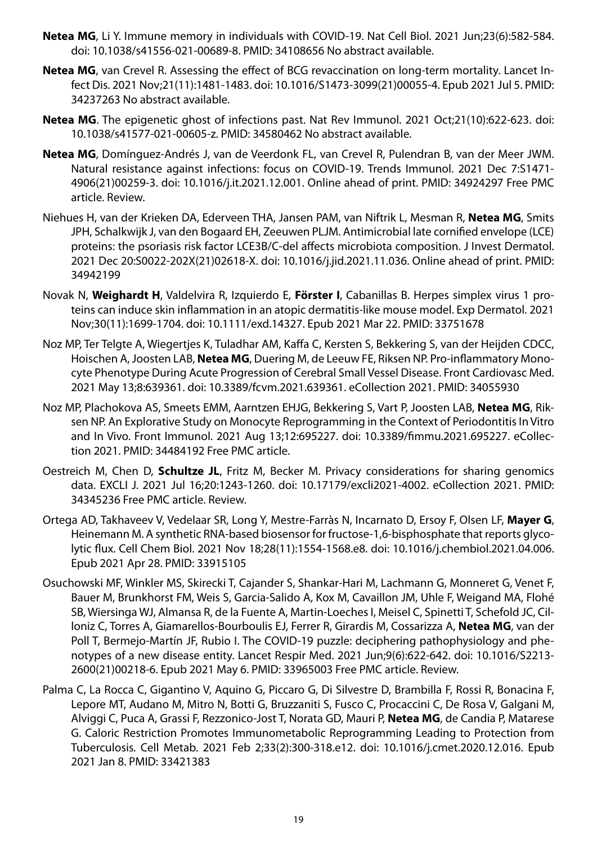- **Netea MG**, Li Y. Immune memory in individuals with COVID-19. Nat Cell Biol. 2021 Jun;23(6):582-584. doi: 10.1038/s41556-021-00689-8. PMID: 34108656 No abstract available.
- **Netea MG**, van Crevel R. Assessing the effect of BCG revaccination on long-term mortality. Lancet Infect Dis. 2021 Nov;21(11):1481-1483. doi: 10.1016/S1473-3099(21)00055-4. Epub 2021 Jul 5. PMID: 34237263 No abstract available.
- **Netea MG**. The epigenetic ghost of infections past. Nat Rev Immunol. 2021 Oct;21(10):622-623. doi: 10.1038/s41577-021-00605-z. PMID: 34580462 No abstract available.
- **Netea MG**, Domínguez-Andrés J, van de Veerdonk FL, van Crevel R, Pulendran B, van der Meer JWM. Natural resistance against infections: focus on COVID-19. Trends Immunol. 2021 Dec 7:S1471- 4906(21)00259-3. doi: 10.1016/j.it.2021.12.001. Online ahead of print. PMID: 34924297 Free PMC article. Review.
- Niehues H, van der Krieken DA, Ederveen THA, Jansen PAM, van Niftrik L, Mesman R, **Netea MG**, Smits JPH, Schalkwijk J, van den Bogaard EH, Zeeuwen PLJM. Antimicrobial late cornified envelope (LCE) proteins: the psoriasis risk factor LCE3B/C-del affects microbiota composition. J Invest Dermatol. 2021 Dec 20:S0022-202X(21)02618-X. doi: 10.1016/j.jid.2021.11.036. Online ahead of print. PMID: 34942199
- Novak N, **Weighardt H**, Valdelvira R, Izquierdo E, **Förster I**, Cabanillas B. Herpes simplex virus 1 proteins can induce skin inflammation in an atopic dermatitis-like mouse model. Exp Dermatol. 2021 Nov;30(11):1699-1704. doi: 10.1111/exd.14327. Epub 2021 Mar 22. PMID: 33751678
- Noz MP, Ter Telgte A, Wiegertjes K, Tuladhar AM, Kaffa C, Kersten S, Bekkering S, van der Heijden CDCC, Hoischen A, Joosten LAB, **Netea MG**, Duering M, de Leeuw FE, Riksen NP. Pro-inflammatory Monocyte Phenotype During Acute Progression of Cerebral Small Vessel Disease. Front Cardiovasc Med. 2021 May 13;8:639361. doi: 10.3389/fcvm.2021.639361. eCollection 2021. PMID: 34055930
- Noz MP, Plachokova AS, Smeets EMM, Aarntzen EHJG, Bekkering S, Vart P, Joosten LAB, **Netea MG**, Riksen NP. An Explorative Study on Monocyte Reprogramming in the Context of Periodontitis In Vitro and In Vivo. Front Immunol. 2021 Aug 13;12:695227. doi: 10.3389/fimmu.2021.695227. eCollection 2021. PMID: 34484192 Free PMC article.
- Oestreich M, Chen D, **Schultze JL**, Fritz M, Becker M. Privacy considerations for sharing genomics data. EXCLI J. 2021 Jul 16;20:1243-1260. doi: 10.17179/excli2021-4002. eCollection 2021. PMID: 34345236 Free PMC article. Review.
- Ortega AD, Takhaveev V, Vedelaar SR, Long Y, Mestre-Farràs N, Incarnato D, Ersoy F, Olsen LF, **Mayer G**, Heinemann M. A synthetic RNA-based biosensor for fructose-1,6-bisphosphate that reports glycolytic flux. Cell Chem Biol. 2021 Nov 18;28(11):1554-1568.e8. doi: 10.1016/j.chembiol.2021.04.006. Epub 2021 Apr 28. PMID: 33915105
- Osuchowski MF, Winkler MS, Skirecki T, Cajander S, Shankar-Hari M, Lachmann G, Monneret G, Venet F, Bauer M, Brunkhorst FM, Weis S, Garcia-Salido A, Kox M, Cavaillon JM, Uhle F, Weigand MA, Flohé SB, Wiersinga WJ, Almansa R, de la Fuente A, Martin-Loeches I, Meisel C, Spinetti T, Schefold JC, Cilloniz C, Torres A, Giamarellos-Bourboulis EJ, Ferrer R, Girardis M, Cossarizza A, **Netea MG**, van der Poll T, Bermejo-Martín JF, Rubio I. The COVID-19 puzzle: deciphering pathophysiology and phenotypes of a new disease entity. Lancet Respir Med. 2021 Jun;9(6):622-642. doi: 10.1016/S2213- 2600(21)00218-6. Epub 2021 May 6. PMID: 33965003 Free PMC article. Review.
- Palma C, La Rocca C, Gigantino V, Aquino G, Piccaro G, Di Silvestre D, Brambilla F, Rossi R, Bonacina F, Lepore MT, Audano M, Mitro N, Botti G, Bruzzaniti S, Fusco C, Procaccini C, De Rosa V, Galgani M, Alviggi C, Puca A, Grassi F, Rezzonico-Jost T, Norata GD, Mauri P, **Netea MG**, de Candia P, Matarese G. Caloric Restriction Promotes Immunometabolic Reprogramming Leading to Protection from Tuberculosis. Cell Metab. 2021 Feb 2;33(2):300-318.e12. doi: 10.1016/j.cmet.2020.12.016. Epub 2021 Jan 8. PMID: 33421383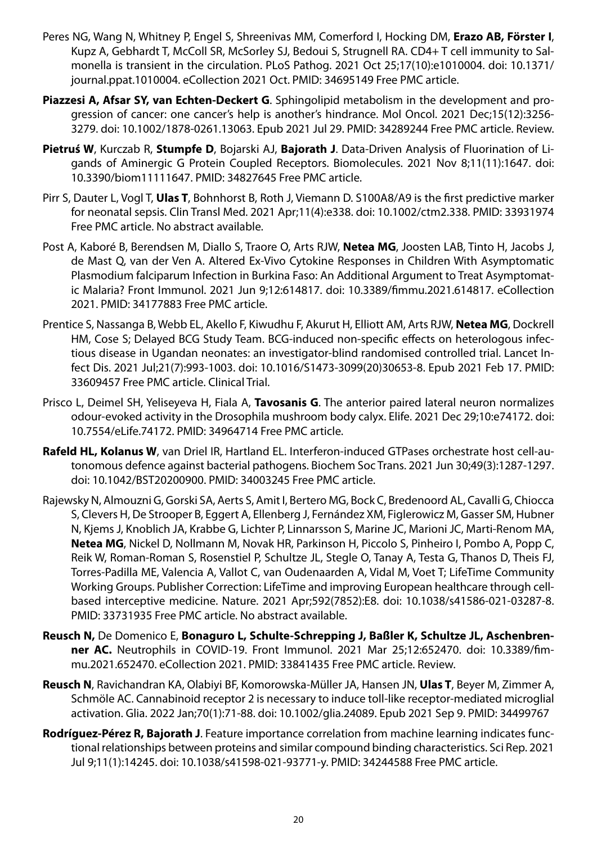- Peres NG, Wang N, Whitney P, Engel S, Shreenivas MM, Comerford I, Hocking DM, **Erazo AB, Förster I**, Kupz A, Gebhardt T, McColl SR, McSorley SJ, Bedoui S, Strugnell RA. CD4+ T cell immunity to Salmonella is transient in the circulation. PLoS Pathog. 2021 Oct 25;17(10):e1010004. doi: 10.1371/ journal.ppat.1010004. eCollection 2021 Oct. PMID: 34695149 Free PMC article.
- **Piazzesi A, Afsar SY, van Echten-Deckert G**. Sphingolipid metabolism in the development and progression of cancer: one cancer's help is another's hindrance. Mol Oncol. 2021 Dec;15(12):3256- 3279. doi: 10.1002/1878-0261.13063. Epub 2021 Jul 29. PMID: 34289244 Free PMC article. Review.
- **Pietruś W**, Kurczab R, **Stumpfe D**, Bojarski AJ, **Bajorath J**. Data-Driven Analysis of Fluorination of Ligands of Aminergic G Protein Coupled Receptors. Biomolecules. 2021 Nov 8;11(11):1647. doi: 10.3390/biom11111647. PMID: 34827645 Free PMC article.
- Pirr S, Dauter L, Vogl T, **Ulas T**, Bohnhorst B, Roth J, Viemann D. S100A8/A9 is the first predictive marker for neonatal sepsis. Clin Transl Med. 2021 Apr;11(4):e338. doi: 10.1002/ctm2.338. PMID: 33931974 Free PMC article. No abstract available.
- Post A, Kaboré B, Berendsen M, Diallo S, Traore O, Arts RJW, **Netea MG**, Joosten LAB, Tinto H, Jacobs J, de Mast Q, van der Ven A. Altered Ex-Vivo Cytokine Responses in Children With Asymptomatic Plasmodium falciparum Infection in Burkina Faso: An Additional Argument to Treat Asymptomatic Malaria? Front Immunol. 2021 Jun 9;12:614817. doi: 10.3389/fimmu.2021.614817. eCollection 2021. PMID: 34177883 Free PMC article.
- Prentice S, Nassanga B, Webb EL, Akello F, Kiwudhu F, Akurut H, Elliott AM, Arts RJW, **Netea MG**, Dockrell HM, Cose S; Delayed BCG Study Team. BCG-induced non-specific effects on heterologous infectious disease in Ugandan neonates: an investigator-blind randomised controlled trial. Lancet Infect Dis. 2021 Jul;21(7):993-1003. doi: 10.1016/S1473-3099(20)30653-8. Epub 2021 Feb 17. PMID: 33609457 Free PMC article. Clinical Trial.
- Prisco L, Deimel SH, Yeliseyeva H, Fiala A, **Tavosanis G**. The anterior paired lateral neuron normalizes odour-evoked activity in the Drosophila mushroom body calyx. Elife. 2021 Dec 29;10:e74172. doi: 10.7554/eLife.74172. PMID: 34964714 Free PMC article.
- **Rafeld HL, Kolanus W**, van Driel IR, Hartland EL. Interferon-induced GTPases orchestrate host cell-autonomous defence against bacterial pathogens. Biochem Soc Trans. 2021 Jun 30;49(3):1287-1297. doi: 10.1042/BST20200900. PMID: 34003245 Free PMC article.
- Rajewsky N, Almouzni G, Gorski SA, Aerts S, Amit I, Bertero MG, Bock C, Bredenoord AL, Cavalli G, Chiocca S, Clevers H, De Strooper B, Eggert A, Ellenberg J, Fernández XM, Figlerowicz M, Gasser SM, Hubner N, Kjems J, Knoblich JA, Krabbe G, Lichter P, Linnarsson S, Marine JC, Marioni JC, Marti-Renom MA, **Netea MG**, Nickel D, Nollmann M, Novak HR, Parkinson H, Piccolo S, Pinheiro I, Pombo A, Popp C, Reik W, Roman-Roman S, Rosenstiel P, Schultze JL, Stegle O, Tanay A, Testa G, Thanos D, Theis FJ, Torres-Padilla ME, Valencia A, Vallot C, van Oudenaarden A, Vidal M, Voet T; LifeTime Community Working Groups. Publisher Correction: LifeTime and improving European healthcare through cellbased interceptive medicine. Nature. 2021 Apr;592(7852):E8. doi: 10.1038/s41586-021-03287-8. PMID: 33731935 Free PMC article. No abstract available.
- **Reusch N,** De Domenico E, **Bonaguro L, Schulte-Schrepping J, Baßler K, Schultze JL, Aschenbrenner AC.** Neutrophils in COVID-19. Front Immunol. 2021 Mar 25;12:652470. doi: 10.3389/fimmu.2021.652470. eCollection 2021. PMID: 33841435 Free PMC article. Review.
- **Reusch N**, Ravichandran KA, Olabiyi BF, Komorowska-Müller JA, Hansen JN, **Ulas T**, Beyer M, Zimmer A, Schmöle AC. Cannabinoid receptor 2 is necessary to induce toll-like receptor-mediated microglial activation. Glia. 2022 Jan;70(1):71-88. doi: 10.1002/glia.24089. Epub 2021 Sep 9. PMID: 34499767
- **Rodríguez-Pérez R, Bajorath J**. Feature importance correlation from machine learning indicates functional relationships between proteins and similar compound binding characteristics. Sci Rep. 2021 Jul 9;11(1):14245. doi: 10.1038/s41598-021-93771-y. PMID: 34244588 Free PMC article.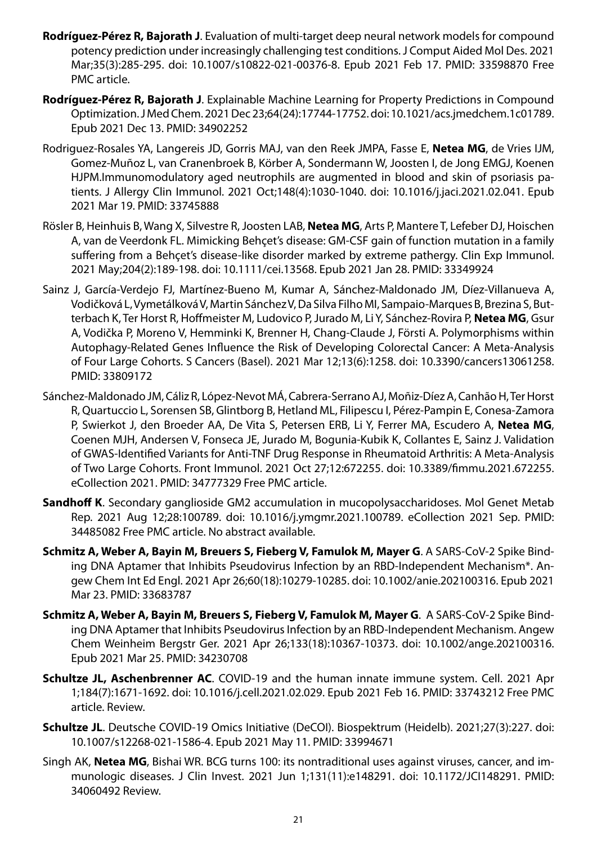- **Rodríguez-Pérez R, Bajorath J**. Evaluation of multi-target deep neural network models for compound potency prediction under increasingly challenging test conditions. J Comput Aided Mol Des. 2021 Mar;35(3):285-295. doi: 10.1007/s10822-021-00376-8. Epub 2021 Feb 17. PMID: 33598870 Free PMC article.
- **Rodríguez-Pérez R, Bajorath J**. Explainable Machine Learning for Property Predictions in Compound Optimization. J Med Chem. 2021 Dec 23;64(24):17744-17752. doi: 10.1021/acs.jmedchem.1c01789. Epub 2021 Dec 13. PMID: 34902252
- Rodriguez-Rosales YA, Langereis JD, Gorris MAJ, van den Reek JMPA, Fasse E, **Netea MG**, de Vries IJM, Gomez-Muñoz L, van Cranenbroek B, Körber A, Sondermann W, Joosten I, de Jong EMGJ, Koenen HJPM.Immunomodulatory aged neutrophils are augmented in blood and skin of psoriasis patients. J Allergy Clin Immunol. 2021 Oct;148(4):1030-1040. doi: 10.1016/j.jaci.2021.02.041. Epub 2021 Mar 19. PMID: 33745888
- Rösler B, Heinhuis B, Wang X, Silvestre R, Joosten LAB, **Netea MG**, Arts P, Mantere T, Lefeber DJ, Hoischen A, van de Veerdonk FL. Mimicking Behçet's disease: GM-CSF gain of function mutation in a family suffering from a Behçet's disease-like disorder marked by extreme pathergy. Clin Exp Immunol. 2021 May;204(2):189-198. doi: 10.1111/cei.13568. Epub 2021 Jan 28. PMID: 33349924
- Sainz J, García-Verdejo FJ, Martínez-Bueno M, Kumar A, Sánchez-Maldonado JM, Díez-Villanueva A, Vodičková L, Vymetálková V, Martin Sánchez V, Da Silva Filho MI, Sampaio-Marques B, Brezina S, Butterbach K, Ter Horst R, Hoffmeister M, Ludovico P, Jurado M, Li Y, Sánchez-Rovira P, **Netea MG**, Gsur A, Vodička P, Moreno V, Hemminki K, Brenner H, Chang-Claude J, Försti A. Polymorphisms within Autophagy-Related Genes Influence the Risk of Developing Colorectal Cancer: A Meta-Analysis of Four Large Cohorts. S Cancers (Basel). 2021 Mar 12;13(6):1258. doi: 10.3390/cancers13061258. PMID: 33809172
- Sánchez-Maldonado JM, Cáliz R, López-Nevot MÁ, Cabrera-Serrano AJ, Moñiz-Díez A, Canhão H, Ter Horst R, Quartuccio L, Sorensen SB, Glintborg B, Hetland ML, Filipescu I, Pérez-Pampin E, Conesa-Zamora P, Swierkot J, den Broeder AA, De Vita S, Petersen ERB, Li Y, Ferrer MA, Escudero A, **Netea MG**, Coenen MJH, Andersen V, Fonseca JE, Jurado M, Bogunia-Kubik K, Collantes E, Sainz J. Validation of GWAS-Identified Variants for Anti-TNF Drug Response in Rheumatoid Arthritis: A Meta-Analysis of Two Large Cohorts. Front Immunol. 2021 Oct 27;12:672255. doi: 10.3389/fimmu.2021.672255. eCollection 2021. PMID: 34777329 Free PMC article.
- **Sandhoff K**. Secondary ganglioside GM2 accumulation in mucopolysaccharidoses. Mol Genet Metab Rep. 2021 Aug 12;28:100789. doi: 10.1016/j.ymgmr.2021.100789. eCollection 2021 Sep. PMID: 34485082 Free PMC article. No abstract available.
- **Schmitz A, Weber A, Bayin M, Breuers S, Fieberg V, Famulok M, Mayer G**. A SARS-CoV-2 Spike Binding DNA Aptamer that Inhibits Pseudovirus Infection by an RBD-Independent Mechanism\*. Angew Chem Int Ed Engl. 2021 Apr 26;60(18):10279-10285. doi: 10.1002/anie.202100316. Epub 2021 Mar 23. PMID: 33683787
- **Schmitz A, Weber A, Bayin M, Breuers S, Fieberg V, Famulok M, Mayer G**. A SARS-CoV-2 Spike Binding DNA Aptamer that Inhibits Pseudovirus Infection by an RBD-Independent Mechanism. Angew Chem Weinheim Bergstr Ger. 2021 Apr 26;133(18):10367-10373. doi: 10.1002/ange.202100316. Epub 2021 Mar 25. PMID: 34230708
- **Schultze JL, Aschenbrenner AC**. COVID-19 and the human innate immune system. Cell. 2021 Apr 1;184(7):1671-1692. doi: 10.1016/j.cell.2021.02.029. Epub 2021 Feb 16. PMID: 33743212 Free PMC article. Review.
- **Schultze JL**. Deutsche COVID-19 Omics Initiative (DeCOI). Biospektrum (Heidelb). 2021;27(3):227. doi: 10.1007/s12268-021-1586-4. Epub 2021 May 11. PMID: 33994671
- Singh AK, **Netea MG**, Bishai WR. BCG turns 100: its nontraditional uses against viruses, cancer, and immunologic diseases. J Clin Invest. 2021 Jun 1;131(11):e148291. doi: 10.1172/JCI148291. PMID: 34060492 Review.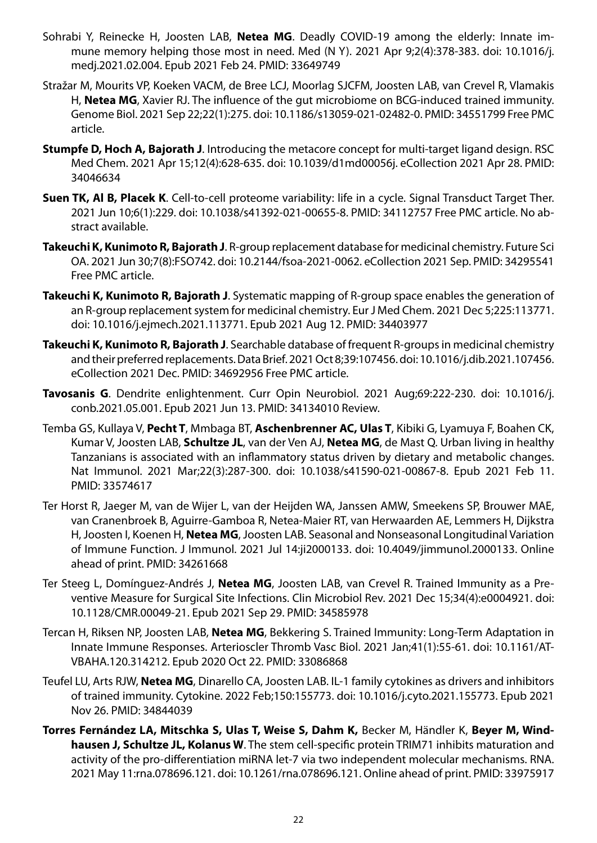- Sohrabi Y, Reinecke H, Joosten LAB, **Netea MG**. Deadly COVID-19 among the elderly: Innate immune memory helping those most in need. Med (N Y). 2021 Apr 9;2(4):378-383. doi: 10.1016/j. medj.2021.02.004. Epub 2021 Feb 24. PMID: 33649749
- Stražar M, Mourits VP, Koeken VACM, de Bree LCJ, Moorlag SJCFM, Joosten LAB, van Crevel R, Vlamakis H, **Netea MG**, Xavier RJ. The influence of the gut microbiome on BCG-induced trained immunity. Genome Biol. 2021 Sep 22;22(1):275. doi: 10.1186/s13059-021-02482-0. PMID: 34551799 Free PMC article.
- **Stumpfe D, Hoch A, Bajorath J**. Introducing the metacore concept for multi-target ligand design. RSC Med Chem. 2021 Apr 15;12(4):628-635. doi: 10.1039/d1md00056j. eCollection 2021 Apr 28. PMID: 34046634
- **Suen TK, Al B, Placek K**. Cell-to-cell proteome variability: life in a cycle. Signal Transduct Target Ther. 2021 Jun 10;6(1):229. doi: 10.1038/s41392-021-00655-8. PMID: 34112757 Free PMC article. No abstract available.
- **Takeuchi K, Kunimoto R, Bajorath J**. R-group replacement database for medicinal chemistry. Future Sci OA. 2021 Jun 30;7(8):FSO742. doi: 10.2144/fsoa-2021-0062. eCollection 2021 Sep. PMID: 34295541 Free PMC article.
- **Takeuchi K, Kunimoto R, Bajorath J**. Systematic mapping of R-group space enables the generation of an R-group replacement system for medicinal chemistry. Eur J Med Chem. 2021 Dec 5;225:113771. doi: 10.1016/j.ejmech.2021.113771. Epub 2021 Aug 12. PMID: 34403977
- **Takeuchi K, Kunimoto R, Bajorath J**. Searchable database of frequent R-groups in medicinal chemistry and their preferred replacements. Data Brief. 2021 Oct 8;39:107456. doi: 10.1016/j.dib.2021.107456. eCollection 2021 Dec. PMID: 34692956 Free PMC article.
- **Tavosanis G**. Dendrite enlightenment. Curr Opin Neurobiol. 2021 Aug;69:222-230. doi: 10.1016/j. conb.2021.05.001. Epub 2021 Jun 13. PMID: 34134010 Review.
- Temba GS, Kullaya V, **Pecht T**, Mmbaga BT, **Aschenbrenner AC, Ulas T**, Kibiki G, Lyamuya F, Boahen CK, Kumar V, Joosten LAB, **Schultze JL**, van der Ven AJ, **Netea MG**, de Mast Q. Urban living in healthy Tanzanians is associated with an inflammatory status driven by dietary and metabolic changes. Nat Immunol. 2021 Mar;22(3):287-300. doi: 10.1038/s41590-021-00867-8. Epub 2021 Feb 11. PMID: 33574617
- Ter Horst R, Jaeger M, van de Wijer L, van der Heijden WA, Janssen AMW, Smeekens SP, Brouwer MAE, van Cranenbroek B, Aguirre-Gamboa R, Netea-Maier RT, van Herwaarden AE, Lemmers H, Dijkstra H, Joosten I, Koenen H, **Netea MG**, Joosten LAB. Seasonal and Nonseasonal Longitudinal Variation of Immune Function. J Immunol. 2021 Jul 14:ji2000133. doi: 10.4049/jimmunol.2000133. Online ahead of print. PMID: 34261668
- Ter Steeg L, Domínguez-Andrés J, **Netea MG**, Joosten LAB, van Crevel R. Trained Immunity as a Preventive Measure for Surgical Site Infections. Clin Microbiol Rev. 2021 Dec 15;34(4):e0004921. doi: 10.1128/CMR.00049-21. Epub 2021 Sep 29. PMID: 34585978
- Tercan H, Riksen NP, Joosten LAB, **Netea MG**, Bekkering S. Trained Immunity: Long-Term Adaptation in Innate Immune Responses. Arterioscler Thromb Vasc Biol. 2021 Jan;41(1):55-61. doi: 10.1161/AT-VBAHA.120.314212. Epub 2020 Oct 22. PMID: 33086868
- Teufel LU, Arts RJW, **Netea MG**, Dinarello CA, Joosten LAB. IL-1 family cytokines as drivers and inhibitors of trained immunity. Cytokine. 2022 Feb;150:155773. doi: 10.1016/j.cyto.2021.155773. Epub 2021 Nov 26. PMID: 34844039
- **Torres Fernández LA, Mitschka S, Ulas T, Weise S, Dahm K,** Becker M, Händler K, **Beyer M, Windhausen J, Schultze JL, Kolanus W**. The stem cell-specific protein TRIM71 inhibits maturation and activity of the pro-differentiation miRNA let-7 via two independent molecular mechanisms. RNA. 2021 May 11:rna.078696.121. doi: 10.1261/rna.078696.121. Online ahead of print. PMID: 33975917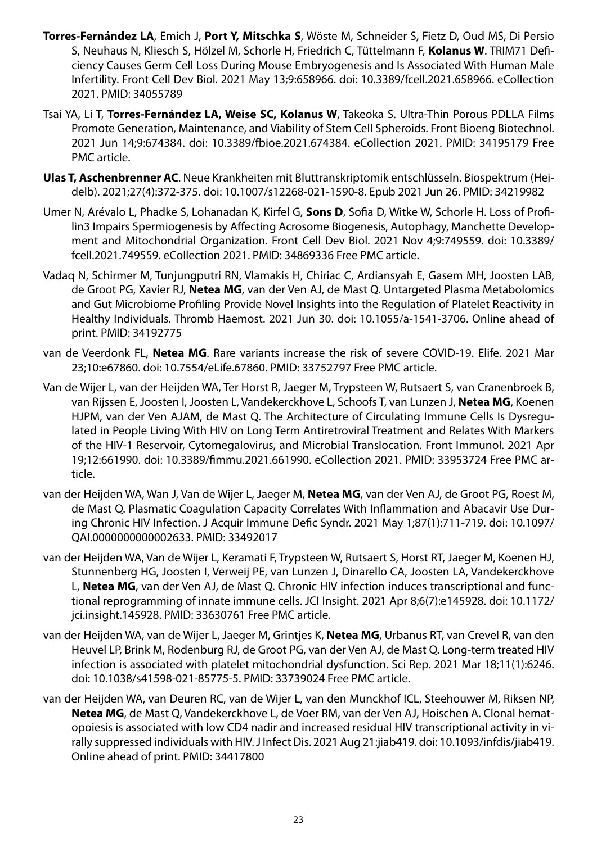- **Torres-Fernández LA**, Emich J, **Port Y, Mitschka S**, Wöste M, Schneider S, Fietz D, Oud MS, Di Persio S, Neuhaus N, Kliesch S, Hölzel M, Schorle H, Friedrich C, Tüttelmann F, **Kolanus W**. TRIM71 Deficiency Causes Germ Cell Loss During Mouse Embryogenesis and Is Associated With Human Male Infertility. Front Cell Dev Biol. 2021 May 13;9:658966. doi: 10.3389/fcell.2021.658966. eCollection 2021. PMID: 34055789
- Tsai YA, Li T, **Torres-Fernández LA, Weise SC, Kolanus W**, Takeoka S. Ultra-Thin Porous PDLLA Films Promote Generation, Maintenance, and Viability of Stem Cell Spheroids. Front Bioeng Biotechnol. 2021 Jun 14;9:674384. doi: 10.3389/fbioe.2021.674384. eCollection 2021. PMID: 34195179 Free PMC article.
- **Ulas T, Aschenbrenner AC**. Neue Krankheiten mit Bluttranskriptomik entschlüsseln. Biospektrum (Heidelb). 2021;27(4):372-375. doi: 10.1007/s12268-021-1590-8. Epub 2021 Jun 26. PMID: 34219982
- Umer N, Arévalo L, Phadke S, Lohanadan K, Kirfel G, **Sons D**, Sofia D, Witke W, Schorle H. Loss of Profilin3 Impairs Spermiogenesis by Affecting Acrosome Biogenesis, Autophagy, Manchette Development and Mitochondrial Organization. Front Cell Dev Biol. 2021 Nov 4;9:749559. doi: 10.3389/ fcell.2021.749559. eCollection 2021. PMID: 34869336 Free PMC article.
- Vadaq N, Schirmer M, Tunjungputri RN, Vlamakis H, Chiriac C, Ardiansyah E, Gasem MH, Joosten LAB, de Groot PG, Xavier RJ, **Netea MG**, van der Ven AJ, de Mast Q. Untargeted Plasma Metabolomics and Gut Microbiome Profiling Provide Novel Insights into the Regulation of Platelet Reactivity in Healthy Individuals. Thromb Haemost. 2021 Jun 30. doi: 10.1055/a-1541-3706. Online ahead of print. PMID: 34192775
- van de Veerdonk FL, **Netea MG**. Rare variants increase the risk of severe COVID-19. Elife. 2021 Mar 23;10:e67860. doi: 10.7554/eLife.67860. PMID: 33752797 Free PMC article.
- Van de Wijer L, van der Heijden WA, Ter Horst R, Jaeger M, Trypsteen W, Rutsaert S, van Cranenbroek B, van Rijssen E, Joosten I, Joosten L, Vandekerckhove L, Schoofs T, van Lunzen J, **Netea MG**, Koenen HJPM, van der Ven AJAM, de Mast Q. The Architecture of Circulating Immune Cells Is Dysregulated in People Living With HIV on Long Term Antiretroviral Treatment and Relates With Markers of the HIV-1 Reservoir, Cytomegalovirus, and Microbial Translocation. Front Immunol. 2021 Apr 19;12:661990. doi: 10.3389/fimmu.2021.661990. eCollection 2021. PMID: 33953724 Free PMC article.
- van der Heijden WA, Wan J, Van de Wijer L, Jaeger M, **Netea MG**, van der Ven AJ, de Groot PG, Roest M, de Mast Q. Plasmatic Coagulation Capacity Correlates With Inflammation and Abacavir Use During Chronic HIV Infection. J Acquir Immune Defic Syndr. 2021 May 1;87(1):711-719. doi: 10.1097/ QAI.0000000000002633. PMID: 33492017
- van der Heijden WA, Van de Wijer L, Keramati F, Trypsteen W, Rutsaert S, Horst RT, Jaeger M, Koenen HJ, Stunnenberg HG, Joosten I, Verweij PE, van Lunzen J, Dinarello CA, Joosten LA, Vandekerckhove L, **Netea MG**, van der Ven AJ, de Mast Q. Chronic HIV infection induces transcriptional and functional reprogramming of innate immune cells. JCI Insight. 2021 Apr 8;6(7):e145928. doi: 10.1172/ jci.insight.145928. PMID: 33630761 Free PMC article.
- van der Heijden WA, van de Wijer L, Jaeger M, Grintjes K, **Netea MG**, Urbanus RT, van Crevel R, van den Heuvel LP, Brink M, Rodenburg RJ, de Groot PG, van der Ven AJ, de Mast Q. Long-term treated HIV infection is associated with platelet mitochondrial dysfunction. Sci Rep. 2021 Mar 18;11(1):6246. doi: 10.1038/s41598-021-85775-5. PMID: 33739024 Free PMC article.
- van der Heijden WA, van Deuren RC, van de Wijer L, van den Munckhof ICL, Steehouwer M, Riksen NP, **Netea MG**, de Mast Q, Vandekerckhove L, de Voer RM, van der Ven AJ, Hoischen A. Clonal hematopoiesis is associated with low CD4 nadir and increased residual HIV transcriptional activity in virally suppressed individuals with HIV. J Infect Dis. 2021 Aug 21:jiab419. doi: 10.1093/infdis/jiab419. Online ahead of print. PMID: 34417800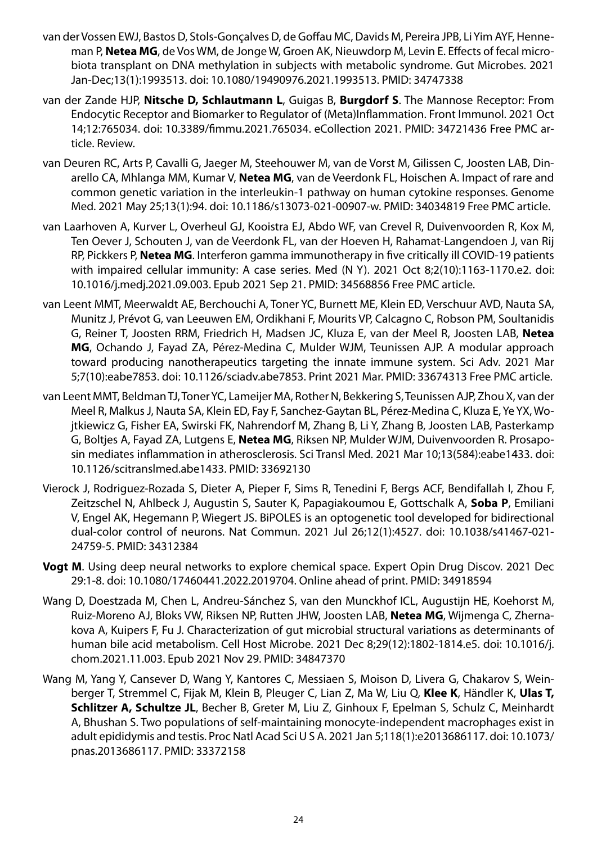- van der Vossen EWJ, Bastos D, Stols-Gonçalves D, de Goffau MC, Davids M, Pereira JPB, Li Yim AYF, Henneman P, **Netea MG**, de Vos WM, de Jonge W, Groen AK, Nieuwdorp M, Levin E. Effects of fecal microbiota transplant on DNA methylation in subjects with metabolic syndrome. Gut Microbes. 2021 Jan-Dec;13(1):1993513. doi: 10.1080/19490976.2021.1993513. PMID: 34747338
- van der Zande HJP, **Nitsche D, Schlautmann L**, Guigas B, **Burgdorf S**. The Mannose Receptor: From Endocytic Receptor and Biomarker to Regulator of (Meta)Inflammation. Front Immunol. 2021 Oct 14;12:765034. doi: 10.3389/fimmu.2021.765034. eCollection 2021. PMID: 34721436 Free PMC article. Review.
- van Deuren RC, Arts P, Cavalli G, Jaeger M, Steehouwer M, van de Vorst M, Gilissen C, Joosten LAB, Dinarello CA, Mhlanga MM, Kumar V, **Netea MG**, van de Veerdonk FL, Hoischen A. Impact of rare and common genetic variation in the interleukin-1 pathway on human cytokine responses. Genome Med. 2021 May 25;13(1):94. doi: 10.1186/s13073-021-00907-w. PMID: 34034819 Free PMC article.
- van Laarhoven A, Kurver L, Overheul GJ, Kooistra EJ, Abdo WF, van Crevel R, Duivenvoorden R, Kox M, Ten Oever J, Schouten J, van de Veerdonk FL, van der Hoeven H, Rahamat-Langendoen J, van Rij RP, Pickkers P, **Netea MG**. Interferon gamma immunotherapy in five critically ill COVID-19 patients with impaired cellular immunity: A case series. Med (N Y). 2021 Oct 8;2(10):1163-1170.e2. doi: 10.1016/j.medj.2021.09.003. Epub 2021 Sep 21. PMID: 34568856 Free PMC article.
- van Leent MMT, Meerwaldt AE, Berchouchi A, Toner YC, Burnett ME, Klein ED, Verschuur AVD, Nauta SA, Munitz J, Prévot G, van Leeuwen EM, Ordikhani F, Mourits VP, Calcagno C, Robson PM, Soultanidis G, Reiner T, Joosten RRM, Friedrich H, Madsen JC, Kluza E, van der Meel R, Joosten LAB, **Netea MG**, Ochando J, Fayad ZA, Pérez-Medina C, Mulder WJM, Teunissen AJP. A modular approach toward producing nanotherapeutics targeting the innate immune system. Sci Adv. 2021 Mar 5;7(10):eabe7853. doi: 10.1126/sciadv.abe7853. Print 2021 Mar. PMID: 33674313 Free PMC article.
- van Leent MMT, Beldman TJ, Toner YC, Lameijer MA, Rother N, Bekkering S, Teunissen AJP, Zhou X, van der Meel R, Malkus J, Nauta SA, Klein ED, Fay F, Sanchez-Gaytan BL, Pérez-Medina C, Kluza E, Ye YX, Wojtkiewicz G, Fisher EA, Swirski FK, Nahrendorf M, Zhang B, Li Y, Zhang B, Joosten LAB, Pasterkamp G, Boltjes A, Fayad ZA, Lutgens E, **Netea MG**, Riksen NP, Mulder WJM, Duivenvoorden R. Prosaposin mediates inflammation in atherosclerosis. Sci Transl Med. 2021 Mar 10;13(584):eabe1433. doi: 10.1126/scitranslmed.abe1433. PMID: 33692130
- Vierock J, Rodriguez-Rozada S, Dieter A, Pieper F, Sims R, Tenedini F, Bergs ACF, Bendifallah I, Zhou F, Zeitzschel N, Ahlbeck J, Augustin S, Sauter K, Papagiakoumou E, Gottschalk A, **Soba P**, Emiliani V, Engel AK, Hegemann P, Wiegert JS. BiPOLES is an optogenetic tool developed for bidirectional dual-color control of neurons. Nat Commun. 2021 Jul 26;12(1):4527. doi: 10.1038/s41467-021- 24759-5. PMID: 34312384
- **Vogt M**. Using deep neural networks to explore chemical space. Expert Opin Drug Discov. 2021 Dec 29:1-8. doi: 10.1080/17460441.2022.2019704. Online ahead of print. PMID: 34918594
- Wang D, Doestzada M, Chen L, Andreu-Sánchez S, van den Munckhof ICL, Augustijn HE, Koehorst M, Ruiz-Moreno AJ, Bloks VW, Riksen NP, Rutten JHW, Joosten LAB, **Netea MG**, Wijmenga C, Zhernakova A, Kuipers F, Fu J. Characterization of gut microbial structural variations as determinants of human bile acid metabolism. Cell Host Microbe. 2021 Dec 8;29(12):1802-1814.e5. doi: 10.1016/j. chom.2021.11.003. Epub 2021 Nov 29. PMID: 34847370
- Wang M, Yang Y, Cansever D, Wang Y, Kantores C, Messiaen S, Moison D, Livera G, Chakarov S, Weinberger T, Stremmel C, Fijak M, Klein B, Pleuger C, Lian Z, Ma W, Liu Q, **Klee K**, Händler K, **Ulas T, Schlitzer A, Schultze JL**, Becher B, Greter M, Liu Z, Ginhoux F, Epelman S, Schulz C, Meinhardt A, Bhushan S. Two populations of self-maintaining monocyte-independent macrophages exist in adult epididymis and testis. Proc Natl Acad Sci U S A. 2021 Jan 5;118(1):e2013686117. doi: 10.1073/ pnas.2013686117. PMID: 33372158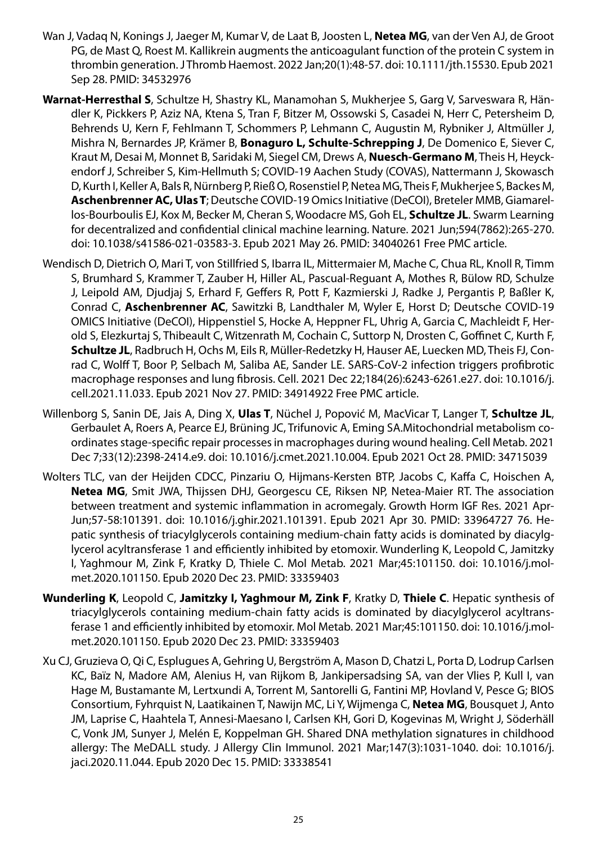- Wan J, Vadaq N, Konings J, Jaeger M, Kumar V, de Laat B, Joosten L, **Netea MG**, van der Ven AJ, de Groot PG, de Mast Q, Roest M. Kallikrein augments the anticoagulant function of the protein C system in thrombin generation. J Thromb Haemost. 2022 Jan;20(1):48-57. doi: 10.1111/jth.15530. Epub 2021 Sep 28. PMID: 34532976
- **Warnat-Herresthal S**, Schultze H, Shastry KL, Manamohan S, Mukherjee S, Garg V, Sarveswara R, Händler K, Pickkers P, Aziz NA, Ktena S, Tran F, Bitzer M, Ossowski S, Casadei N, Herr C, Petersheim D, Behrends U, Kern F, Fehlmann T, Schommers P, Lehmann C, Augustin M, Rybniker J, Altmüller J, Mishra N, Bernardes JP, Krämer B, **Bonaguro L, Schulte-Schrepping J**, De Domenico E, Siever C, Kraut M, Desai M, Monnet B, Saridaki M, Siegel CM, Drews A, **Nuesch-Germano M**, Theis H, Heyckendorf J, Schreiber S, Kim-Hellmuth S; COVID-19 Aachen Study (COVAS), Nattermann J, Skowasch D, Kurth I, Keller A, Bals R, Nürnberg P, Rieß O, Rosenstiel P, Netea MG, Theis F, Mukherjee S, Backes M, **Aschenbrenner AC, Ulas T**; Deutsche COVID-19 Omics Initiative (DeCOI), Breteler MMB, Giamarellos-Bourboulis EJ, Kox M, Becker M, Cheran S, Woodacre MS, Goh EL, **Schultze JL**. Swarm Learning for decentralized and confidential clinical machine learning. Nature. 2021 Jun;594(7862):265-270. doi: 10.1038/s41586-021-03583-3. Epub 2021 May 26. PMID: 34040261 Free PMC article.
- Wendisch D, Dietrich O, Mari T, von Stillfried S, Ibarra IL, Mittermaier M, Mache C, Chua RL, Knoll R, Timm S, Brumhard S, Krammer T, Zauber H, Hiller AL, Pascual-Reguant A, Mothes R, Bülow RD, Schulze J, Leipold AM, Djudjaj S, Erhard F, Geffers R, Pott F, Kazmierski J, Radke J, Pergantis P, Baßler K, Conrad C, **Aschenbrenner AC**, Sawitzki B, Landthaler M, Wyler E, Horst D; Deutsche COVID-19 OMICS Initiative (DeCOI), Hippenstiel S, Hocke A, Heppner FL, Uhrig A, Garcia C, Machleidt F, Herold S, Elezkurtaj S, Thibeault C, Witzenrath M, Cochain C, Suttorp N, Drosten C, Goffinet C, Kurth F, **Schultze JL**, Radbruch H, Ochs M, Eils R, Müller-Redetzky H, Hauser AE, Luecken MD, Theis FJ, Conrad C, Wolff T, Boor P, Selbach M, Saliba AE, Sander LE. SARS-CoV-2 infection triggers profibrotic macrophage responses and lung fibrosis. Cell. 2021 Dec 22;184(26):6243-6261.e27. doi: 10.1016/j. cell.2021.11.033. Epub 2021 Nov 27. PMID: 34914922 Free PMC article.
- Willenborg S, Sanin DE, Jais A, Ding X, **Ulas T**, Nüchel J, Popović M, MacVicar T, Langer T, **Schultze JL**, Gerbaulet A, Roers A, Pearce EJ, Brüning JC, Trifunovic A, Eming SA.Mitochondrial metabolism coordinates stage-specific repair processes in macrophages during wound healing. Cell Metab. 2021 Dec 7;33(12):2398-2414.e9. doi: 10.1016/j.cmet.2021.10.004. Epub 2021 Oct 28. PMID: 34715039
- Wolters TLC, van der Heijden CDCC, Pinzariu O, Hijmans-Kersten BTP, Jacobs C, Kaffa C, Hoischen A, **Netea MG**, Smit JWA, Thijssen DHJ, Georgescu CE, Riksen NP, Netea-Maier RT. The association between treatment and systemic inflammation in acromegaly. Growth Horm IGF Res. 2021 Apr-Jun;57-58:101391. doi: 10.1016/j.ghir.2021.101391. Epub 2021 Apr 30. PMID: 33964727 76. Hepatic synthesis of triacylglycerols containing medium-chain fatty acids is dominated by diacylglycerol acyltransferase 1 and efficiently inhibited by etomoxir. Wunderling K, Leopold C, Jamitzky I, Yaghmour M, Zink F, Kratky D, Thiele C. Mol Metab. 2021 Mar;45:101150. doi: 10.1016/j.molmet.2020.101150. Epub 2020 Dec 23. PMID: 33359403
- **Wunderling K**, Leopold C, **Jamitzky I, Yaghmour M, Zink F**, Kratky D, **Thiele C**. Hepatic synthesis of triacylglycerols containing medium-chain fatty acids is dominated by diacylglycerol acyltransferase 1 and efficiently inhibited by etomoxir. Mol Metab. 2021 Mar;45:101150. doi: 10.1016/j.molmet.2020.101150. Epub 2020 Dec 23. PMID: 33359403
- Xu CJ, Gruzieva O, Qi C, Esplugues A, Gehring U, Bergström A, Mason D, Chatzi L, Porta D, Lodrup Carlsen KC, Baïz N, Madore AM, Alenius H, van Rijkom B, Jankipersadsing SA, van der Vlies P, Kull I, van Hage M, Bustamante M, Lertxundi A, Torrent M, Santorelli G, Fantini MP, Hovland V, Pesce G; BIOS Consortium, Fyhrquist N, Laatikainen T, Nawijn MC, Li Y, Wijmenga C, **Netea MG**, Bousquet J, Anto JM, Laprise C, Haahtela T, Annesi-Maesano I, Carlsen KH, Gori D, Kogevinas M, Wright J, Söderhäll C, Vonk JM, Sunyer J, Melén E, Koppelman GH. Shared DNA methylation signatures in childhood allergy: The MeDALL study. J Allergy Clin Immunol. 2021 Mar;147(3):1031-1040. doi: 10.1016/j. jaci.2020.11.044. Epub 2020 Dec 15. PMID: 33338541